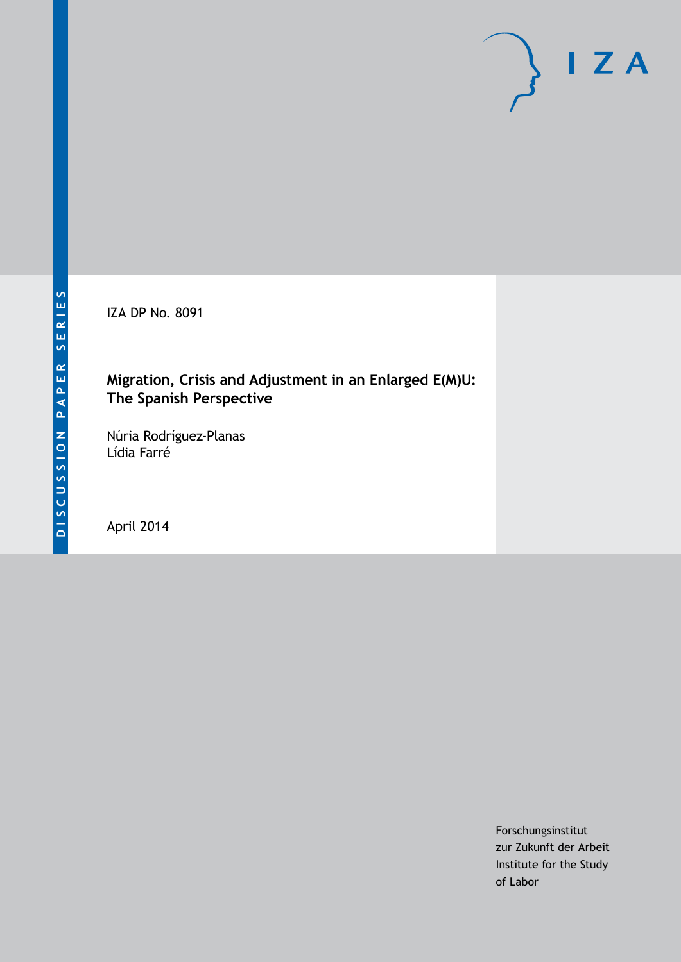IZA DP No. 8091

## **Migration, Crisis and Adjustment in an Enlarged E(M)U: The Spanish Perspective**

Núria Rodríguez-Planas Lídia Farré

April 2014

Forschungsinstitut zur Zukunft der Arbeit Institute for the Study of Labor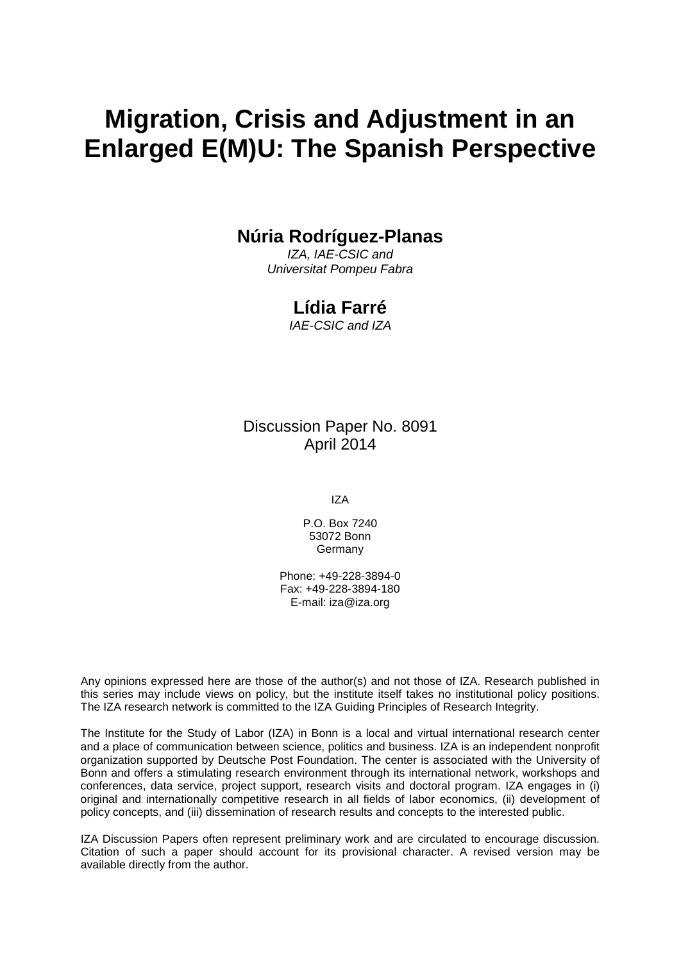# **Migration, Crisis and Adjustment in an Enlarged E(M)U: The Spanish Perspective**

## **Núria Rodríguez-Planas**

*IZA, IAE-CSIC and Universitat Pompeu Fabra*

## **Lídia Farré**

*IAE-CSIC and IZA*

Discussion Paper No. 8091 April 2014

IZA

P.O. Box 7240 53072 Bonn **Germany** 

Phone: +49-228-3894-0 Fax: +49-228-3894-180 E-mail: [iza@iza.org](mailto:iza@iza.org)

Any opinions expressed here are those of the author(s) and not those of IZA. Research published in this series may include views on policy, but the institute itself takes no institutional policy positions. The IZA research network is committed to the IZA Guiding Principles of Research Integrity.

The Institute for the Study of Labor (IZA) in Bonn is a local and virtual international research center and a place of communication between science, politics and business. IZA is an independent nonprofit organization supported by Deutsche Post Foundation. The center is associated with the University of Bonn and offers a stimulating research environment through its international network, workshops and conferences, data service, project support, research visits and doctoral program. IZA engages in (i) original and internationally competitive research in all fields of labor economics, (ii) development of policy concepts, and (iii) dissemination of research results and concepts to the interested public.

IZA Discussion Papers often represent preliminary work and are circulated to encourage discussion. Citation of such a paper should account for its provisional character. A revised version may be available directly from the author.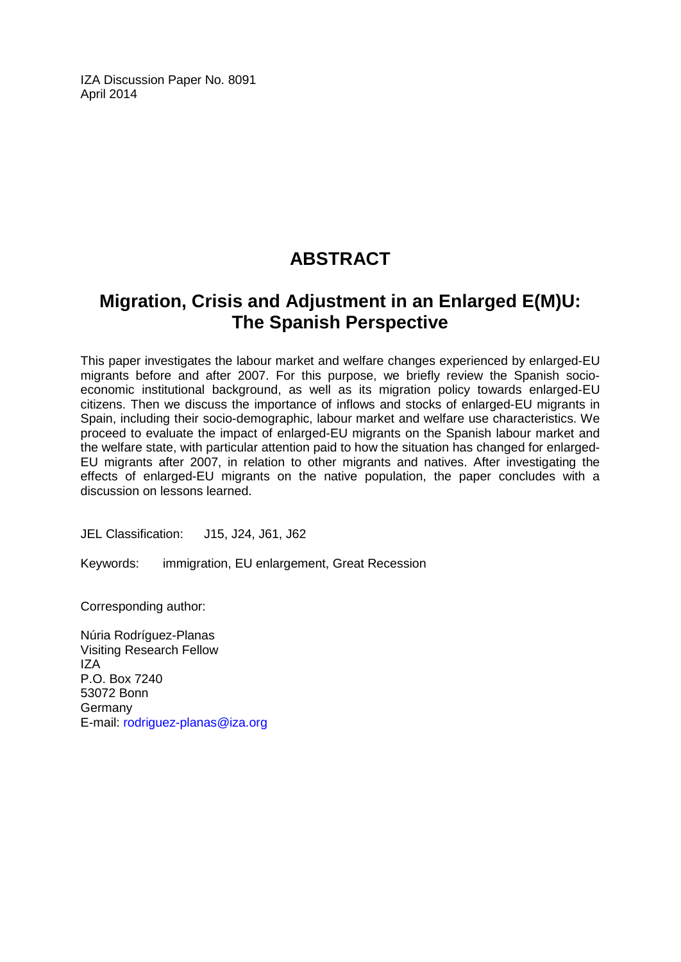IZA Discussion Paper No. 8091 April 2014

## **ABSTRACT**

## **Migration, Crisis and Adjustment in an Enlarged E(M)U: The Spanish Perspective**

This paper investigates the labour market and welfare changes experienced by enlarged-EU migrants before and after 2007. For this purpose, we briefly review the Spanish socioeconomic institutional background, as well as its migration policy towards enlarged-EU citizens. Then we discuss the importance of inflows and stocks of enlarged-EU migrants in Spain, including their socio-demographic, labour market and welfare use characteristics. We proceed to evaluate the impact of enlarged-EU migrants on the Spanish labour market and the welfare state, with particular attention paid to how the situation has changed for enlarged-EU migrants after 2007, in relation to other migrants and natives. After investigating the effects of enlarged-EU migrants on the native population, the paper concludes with a discussion on lessons learned.

JEL Classification: J15, J24, J61, J62

Keywords: immigration, EU enlargement, Great Recession

Corresponding author:

Núria Rodríguez-Planas Visiting Research Fellow IZA P.O. Box 7240 53072 Bonn Germany E-mail: [rodriguez-planas@iza.org](mailto:rodriguez-planas@iza.org)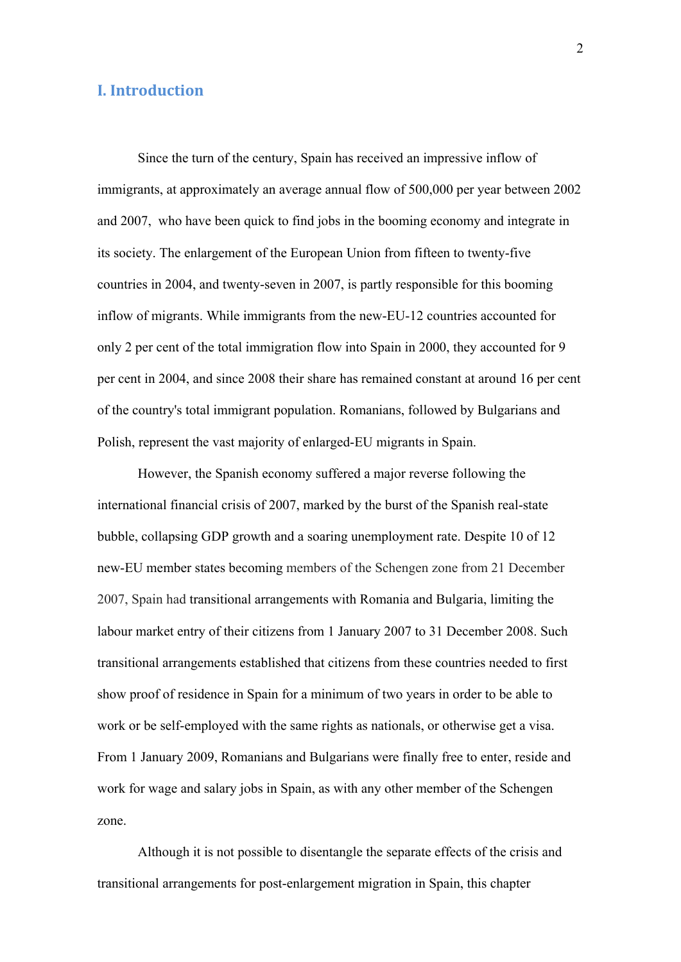## **I. Introduction**

Since the turn of the century, Spain has received an impressive inflow of immigrants, at approximately an average annual flow of 500,000 per year between 2002 and 2007, who have been quick to find jobs in the booming economy and integrate in its society. The enlargement of the European Union from fifteen to twenty-five countries in 2004, and twenty-seven in 2007, is partly responsible for this booming inflow of migrants. While immigrants from the new-EU-12 countries accounted for only 2 per cent of the total immigration flow into Spain in 2000, they accounted for 9 per cent in 2004, and since 2008 their share has remained constant at around 16 per cent of the country's total immigrant population. Romanians, followed by Bulgarians and Polish, represent the vast majority of enlarged-EU migrants in Spain.

 However, the Spanish economy suffered a major reverse following the international financial crisis of 2007, marked by the burst of the Spanish real-state bubble, collapsing GDP growth and a soaring unemployment rate. Despite 10 of 12 new-EU member states becoming members of the Schengen zone from 21 December 2007, Spain had transitional arrangements with Romania and Bulgaria, limiting the labour market entry of their citizens from 1 January 2007 to 31 December 2008. Such transitional arrangements established that citizens from these countries needed to first show proof of residence in Spain for a minimum of two years in order to be able to work or be self-employed with the same rights as nationals, or otherwise get a visa. From 1 January 2009, Romanians and Bulgarians were finally free to enter, reside and work for wage and salary jobs in Spain, as with any other member of the Schengen zone.

 Although it is not possible to disentangle the separate effects of the crisis and transitional arrangements for post-enlargement migration in Spain, this chapter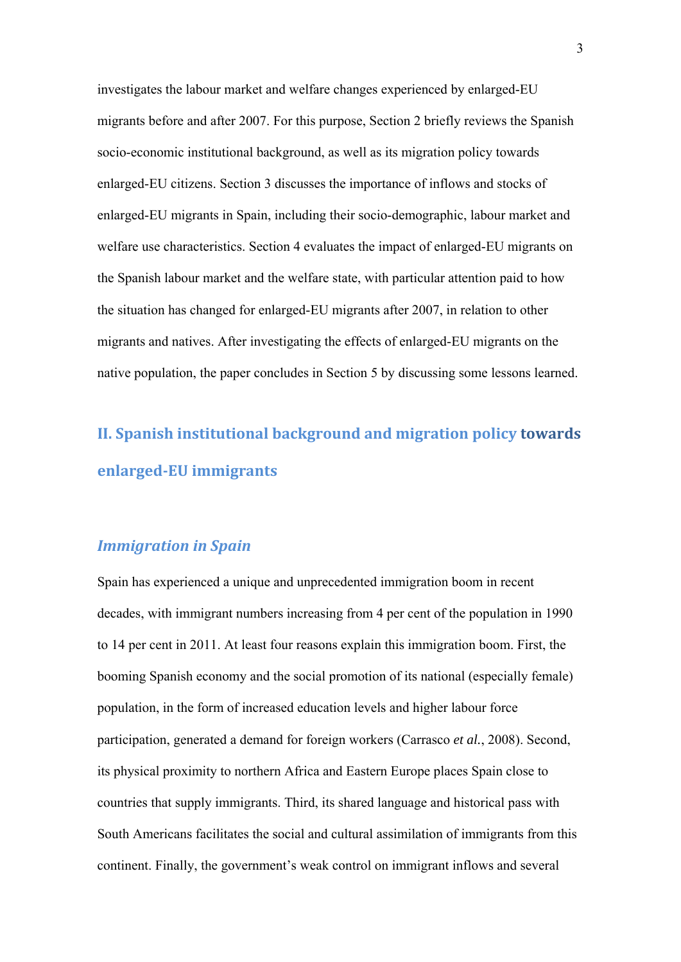investigates the labour market and welfare changes experienced by enlarged-EU migrants before and after 2007. For this purpose, Section 2 briefly reviews the Spanish socio-economic institutional background, as well as its migration policy towards enlarged-EU citizens. Section 3 discusses the importance of inflows and stocks of enlarged-EU migrants in Spain, including their socio-demographic, labour market and welfare use characteristics. Section 4 evaluates the impact of enlarged-EU migrants on the Spanish labour market and the welfare state, with particular attention paid to how the situation has changed for enlarged-EU migrants after 2007, in relation to other migrants and natives. After investigating the effects of enlarged-EU migrants on the native population, the paper concludes in Section 5 by discussing some lessons learned.

# **II. Spanish institutional background and migration policy towards enlarged‐EU immigrants**

## *Immigration in Spain*

Spain has experienced a unique and unprecedented immigration boom in recent decades, with immigrant numbers increasing from 4 per cent of the population in 1990 to 14 per cent in 2011. At least four reasons explain this immigration boom. First, the booming Spanish economy and the social promotion of its national (especially female) population, in the form of increased education levels and higher labour force participation, generated a demand for foreign workers (Carrasco *et al.*, 2008). Second, its physical proximity to northern Africa and Eastern Europe places Spain close to countries that supply immigrants. Third, its shared language and historical pass with South Americans facilitates the social and cultural assimilation of immigrants from this continent. Finally, the government's weak control on immigrant inflows and several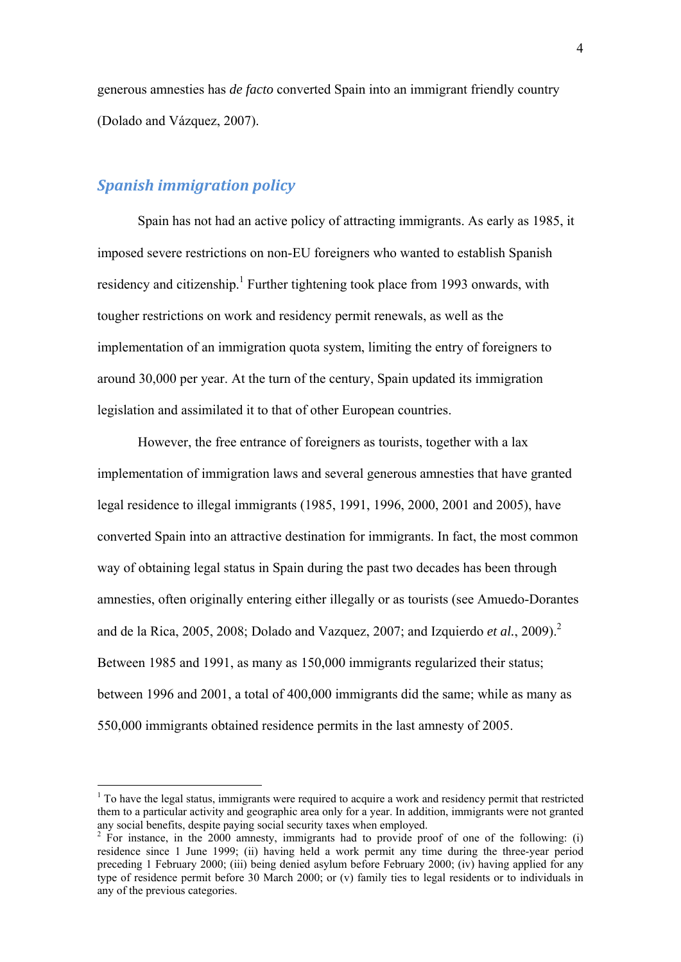generous amnesties has *de facto* converted Spain into an immigrant friendly country (Dolado and Vázquez, 2007).

## *Spanish immigration policy*

1

Spain has not had an active policy of attracting immigrants. As early as 1985, it imposed severe restrictions on non-EU foreigners who wanted to establish Spanish residency and citizenship.<sup>1</sup> Further tightening took place from 1993 onwards, with tougher restrictions on work and residency permit renewals, as well as the implementation of an immigration quota system, limiting the entry of foreigners to around 30,000 per year. At the turn of the century, Spain updated its immigration legislation and assimilated it to that of other European countries.

However, the free entrance of foreigners as tourists, together with a lax implementation of immigration laws and several generous amnesties that have granted legal residence to illegal immigrants (1985, 1991, 1996, 2000, 2001 and 2005), have converted Spain into an attractive destination for immigrants. In fact, the most common way of obtaining legal status in Spain during the past two decades has been through amnesties, often originally entering either illegally or as tourists (see Amuedo-Dorantes and de la Rica, 2005, 2008; Dolado and Vazquez, 2007; and Izquierdo *et al.*, 2009).<sup>2</sup> Between 1985 and 1991, as many as 150,000 immigrants regularized their status; between 1996 and 2001, a total of 400,000 immigrants did the same; while as many as 550,000 immigrants obtained residence permits in the last amnesty of 2005.

 $1$  To have the legal status, immigrants were required to acquire a work and residency permit that restricted them to a particular activity and geographic area only for a year. In addition, immigrants were not granted any social benefits, despite paying social security taxes when employed. 2

 $\frac{1}{2}$  For instance, in the 2000 amnesty, immigrants had to provide proof of one of the following: (i) residence since 1 June 1999; (ii) having held a work permit any time during the three-year period preceding 1 February 2000; (iii) being denied asylum before February 2000; (iv) having applied for any type of residence permit before 30 March 2000; or (v) family ties to legal residents or to individuals in any of the previous categories.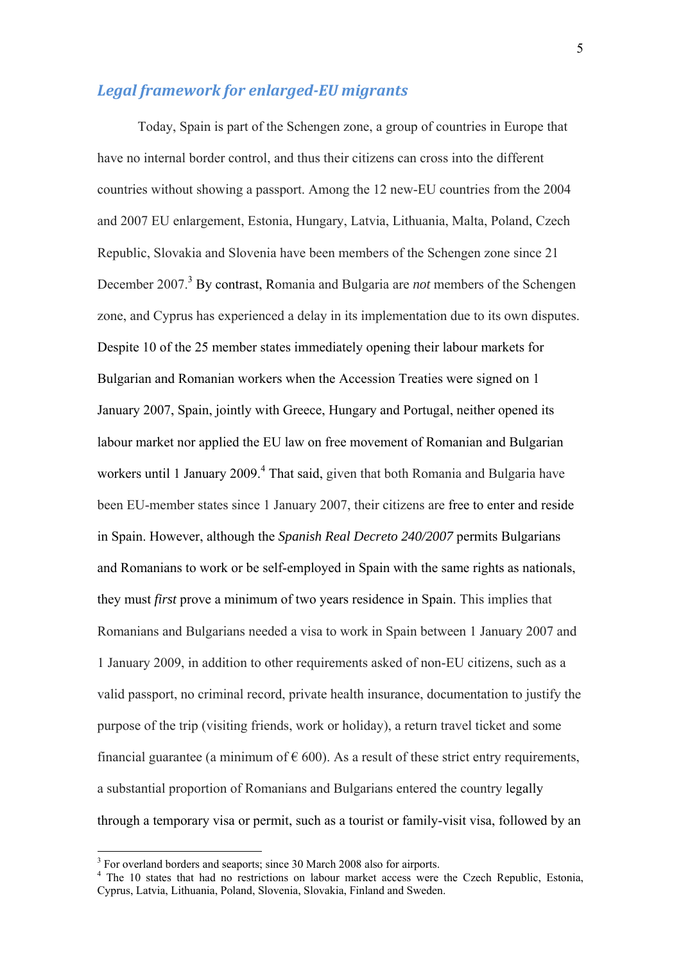## *Legal framework for enlarged‐EU migrants*

Today, Spain is part of the Schengen zone, a group of countries in Europe that have no internal border control, and thus their citizens can cross into the different countries without showing a passport. Among the 12 new-EU countries from the 2004 and 2007 EU enlargement, Estonia, Hungary, Latvia, Lithuania, Malta, Poland, Czech Republic, Slovakia and Slovenia have been members of the Schengen zone since 21 December 2007.<sup>3</sup> By contrast, Romania and Bulgaria are *not* members of the Schengen zone, and Cyprus has experienced a delay in its implementation due to its own disputes. Despite 10 of the 25 member states immediately opening their labour markets for Bulgarian and Romanian workers when the Accession Treaties were signed on 1 January 2007, Spain, jointly with Greece, Hungary and Portugal, neither opened its labour market nor applied the EU law on free movement of Romanian and Bulgarian workers until 1 January 2009.<sup>4</sup> That said, given that both Romania and Bulgaria have been EU-member states since 1 January 2007, their citizens are free to enter and reside in Spain. However, although the *Spanish Real Decreto 240/2007* permits Bulgarians and Romanians to work or be self-employed in Spain with the same rights as nationals, they must *first* prove a minimum of two years residence in Spain. This implies that Romanians and Bulgarians needed a visa to work in Spain between 1 January 2007 and 1 January 2009, in addition to other requirements asked of non-EU citizens, such as a valid passport, no criminal record, private health insurance, documentation to justify the purpose of the trip (visiting friends, work or holiday), a return travel ticket and some financial guarantee (a minimum of  $\epsilon$  600). As a result of these strict entry requirements, a substantial proportion of Romanians and Bulgarians entered the country legally through a temporary visa or permit, such as a tourist or family-visit visa, followed by an

<sup>&</sup>lt;sup>3</sup> For overland borders and seaports; since 30 March 2008 also for airports.<br><sup>4</sup> The 10 states that had no restrictions on labour market access were the Czech Republic, Estonia, Cyprus, Latvia, Lithuania, Poland, Slovenia, Slovakia, Finland and Sweden.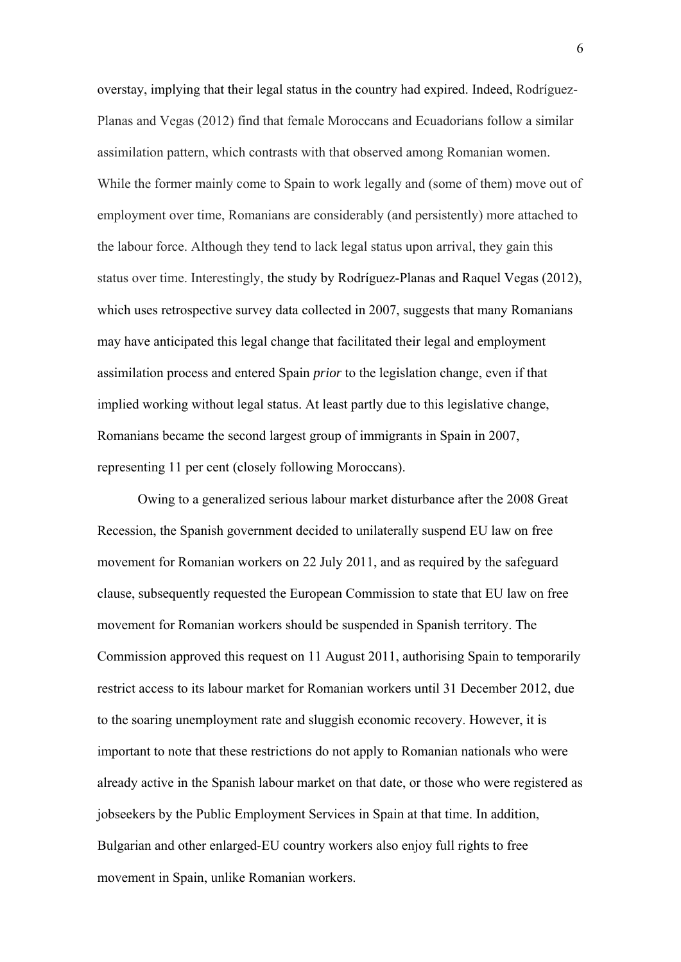overstay, implying that their legal status in the country had expired. Indeed, Rodríguez-Planas and Vegas (2012) find that female Moroccans and Ecuadorians follow a similar assimilation pattern, which contrasts with that observed among Romanian women. While the former mainly come to Spain to work legally and (some of them) move out of employment over time, Romanians are considerably (and persistently) more attached to the labour force. Although they tend to lack legal status upon arrival, they gain this status over time. Interestingly, the study by Rodríguez-Planas and Raquel Vegas (2012), which uses retrospective survey data collected in 2007, suggests that many Romanians may have anticipated this legal change that facilitated their legal and employment assimilation process and entered Spain *prior* to the legislation change, even if that implied working without legal status. At least partly due to this legislative change, Romanians became the second largest group of immigrants in Spain in 2007, representing 11 per cent (closely following Moroccans).

Owing to a generalized serious labour market disturbance after the 2008 Great Recession, the Spanish government decided to unilaterally suspend EU law on free movement for Romanian workers on 22 July 2011, and as required by the safeguard clause, subsequently requested the European Commission to state that EU law on free movement for Romanian workers should be suspended in Spanish territory. The Commission approved this request on 11 August 2011, authorising Spain to temporarily restrict access to its labour market for Romanian workers until 31 December 2012, due to the soaring unemployment rate and sluggish economic recovery. However, it is important to note that these restrictions do not apply to Romanian nationals who were already active in the Spanish labour market on that date, or those who were registered as jobseekers by the Public Employment Services in Spain at that time. In addition, Bulgarian and other enlarged-EU country workers also enjoy full rights to free movement in Spain, unlike Romanian workers.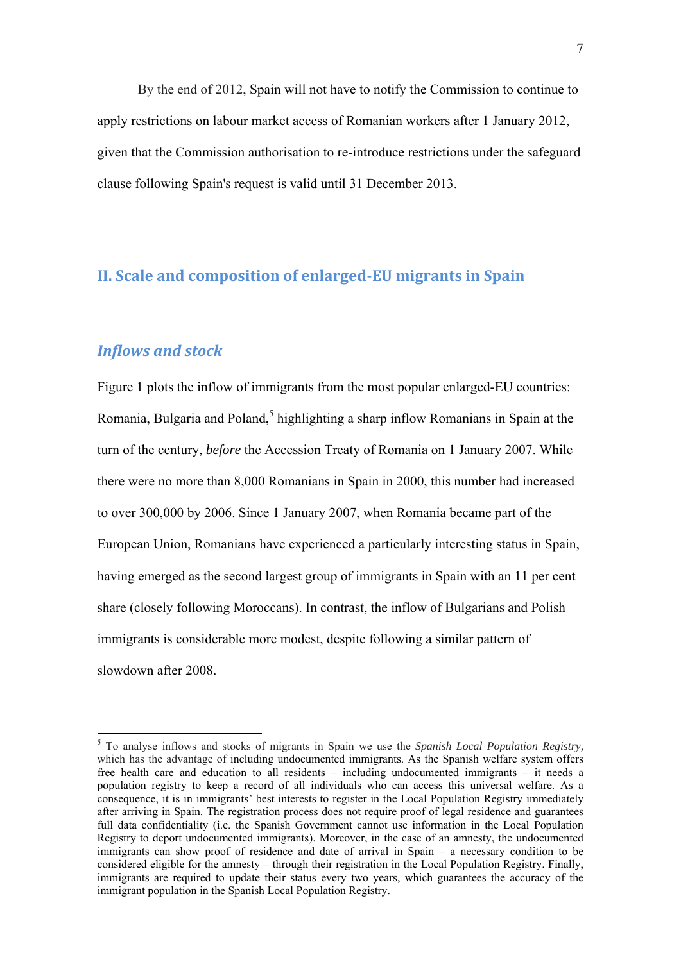By the end of 2012, Spain will not have to notify the Commission to continue to apply restrictions on labour market access of Romanian workers after 1 January 2012, given that the Commission authorisation to re-introduce restrictions under the safeguard clause following Spain's request is valid until 31 December 2013.

## **II. Scale and composition of enlarged‐EU migrants in Spain**

## *Inflows and stock*

1

Figure 1 plots the inflow of immigrants from the most popular enlarged-EU countries: Romania, Bulgaria and Poland,<sup>5</sup> highlighting a sharp inflow Romanians in Spain at the turn of the century, *before* the Accession Treaty of Romania on 1 January 2007. While there were no more than 8,000 Romanians in Spain in 2000, this number had increased to over 300,000 by 2006. Since 1 January 2007, when Romania became part of the European Union, Romanians have experienced a particularly interesting status in Spain, having emerged as the second largest group of immigrants in Spain with an 11 per cent share (closely following Moroccans). In contrast, the inflow of Bulgarians and Polish immigrants is considerable more modest, despite following a similar pattern of slowdown after 2008.

<sup>5</sup> To analyse inflows and stocks of migrants in Spain we use the *Spanish Local Population Registry,*  which has the advantage of including undocumented immigrants. As the Spanish welfare system offers free health care and education to all residents – including undocumented immigrants – it needs a population registry to keep a record of all individuals who can access this universal welfare. As a consequence, it is in immigrants' best interests to register in the Local Population Registry immediately after arriving in Spain. The registration process does not require proof of legal residence and guarantees full data confidentiality (i.e. the Spanish Government cannot use information in the Local Population Registry to deport undocumented immigrants). Moreover, in the case of an amnesty, the undocumented immigrants can show proof of residence and date of arrival in Spain – a necessary condition to be considered eligible for the amnesty – through their registration in the Local Population Registry. Finally, immigrants are required to update their status every two years, which guarantees the accuracy of the immigrant population in the Spanish Local Population Registry.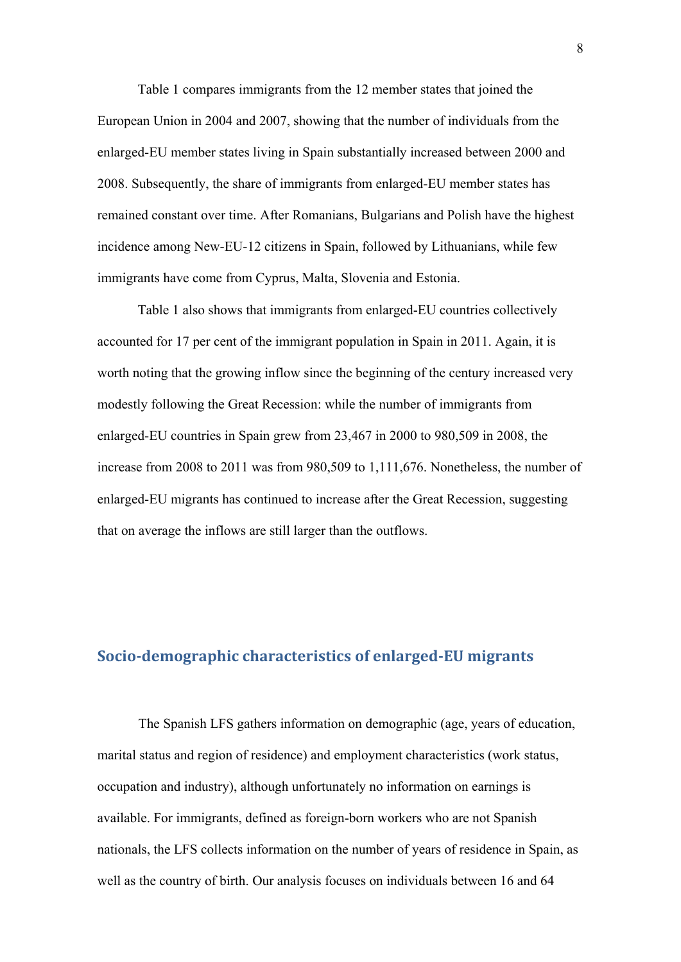Table 1 compares immigrants from the 12 member states that joined the European Union in 2004 and 2007, showing that the number of individuals from the enlarged-EU member states living in Spain substantially increased between 2000 and 2008. Subsequently, the share of immigrants from enlarged-EU member states has remained constant over time. After Romanians, Bulgarians and Polish have the highest incidence among New-EU-12 citizens in Spain, followed by Lithuanians, while few immigrants have come from Cyprus, Malta, Slovenia and Estonia.

Table 1 also shows that immigrants from enlarged-EU countries collectively accounted for 17 per cent of the immigrant population in Spain in 2011. Again, it is worth noting that the growing inflow since the beginning of the century increased very modestly following the Great Recession: while the number of immigrants from enlarged-EU countries in Spain grew from 23,467 in 2000 to 980,509 in 2008, the increase from 2008 to 2011 was from 980,509 to 1,111,676. Nonetheless, the number of enlarged-EU migrants has continued to increase after the Great Recession, suggesting that on average the inflows are still larger than the outflows.

## **Socio‐demographic characteristics of enlarged‐EU migrants**

 The Spanish LFS gathers information on demographic (age, years of education, marital status and region of residence) and employment characteristics (work status, occupation and industry), although unfortunately no information on earnings is available. For immigrants, defined as foreign-born workers who are not Spanish nationals, the LFS collects information on the number of years of residence in Spain, as well as the country of birth. Our analysis focuses on individuals between 16 and 64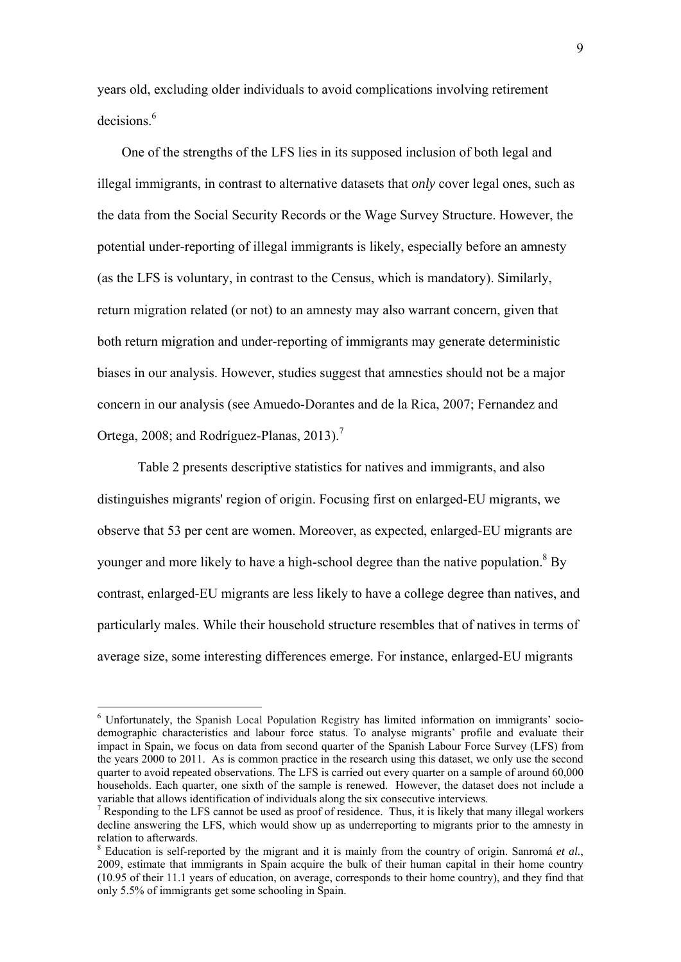years old, excluding older individuals to avoid complications involving retirement decisions<sup>6</sup>

One of the strengths of the LFS lies in its supposed inclusion of both legal and illegal immigrants, in contrast to alternative datasets that *only* cover legal ones, such as the data from the Social Security Records or the Wage Survey Structure. However, the potential under-reporting of illegal immigrants is likely, especially before an amnesty (as the LFS is voluntary, in contrast to the Census, which is mandatory). Similarly, return migration related (or not) to an amnesty may also warrant concern, given that both return migration and under-reporting of immigrants may generate deterministic biases in our analysis. However, studies suggest that amnesties should not be a major concern in our analysis (see Amuedo-Dorantes and de la Rica, 2007; Fernandez and Ortega, 2008; and Rodríguez-Planas, 2013).<sup>7</sup>

 Table 2 presents descriptive statistics for natives and immigrants, and also distinguishes migrants' region of origin. Focusing first on enlarged-EU migrants, we observe that 53 per cent are women. Moreover, as expected, enlarged-EU migrants are younger and more likely to have a high-school degree than the native population.<sup>8</sup> By contrast, enlarged-EU migrants are less likely to have a college degree than natives, and particularly males. While their household structure resembles that of natives in terms of average size, some interesting differences emerge. For instance, enlarged-EU migrants

<u>.</u>

<sup>&</sup>lt;sup>6</sup> Unfortunately, the Spanish Local Population Registry has limited information on immigrants' sociodemographic characteristics and labour force status. To analyse migrants' profile and evaluate their impact in Spain, we focus on data from second quarter of the Spanish Labour Force Survey (LFS) from the years 2000 to 2011. As is common practice in the research using this dataset, we only use the second quarter to avoid repeated observations. The LFS is carried out every quarter on a sample of around 60,000 households. Each quarter, one sixth of the sample is renewed. However, the dataset does not include a variable that allows identification of individuals along the six consecutive interviews.

 $<sup>7</sup>$  Responding to the LFS cannot be used as proof of residence. Thus, it is likely that many illegal workers</sup> decline answering the LFS, which would show up as underreporting to migrants prior to the amnesty in relation to afterwards.

<sup>&</sup>lt;sup>8</sup> Education is self-reported by the migrant and it is mainly from the country of origin. Sanromá et al., 2009, estimate that immigrants in Spain acquire the bulk of their human capital in their home country (10.95 of their 11.1 years of education, on average, corresponds to their home country), and they find that only 5.5% of immigrants get some schooling in Spain.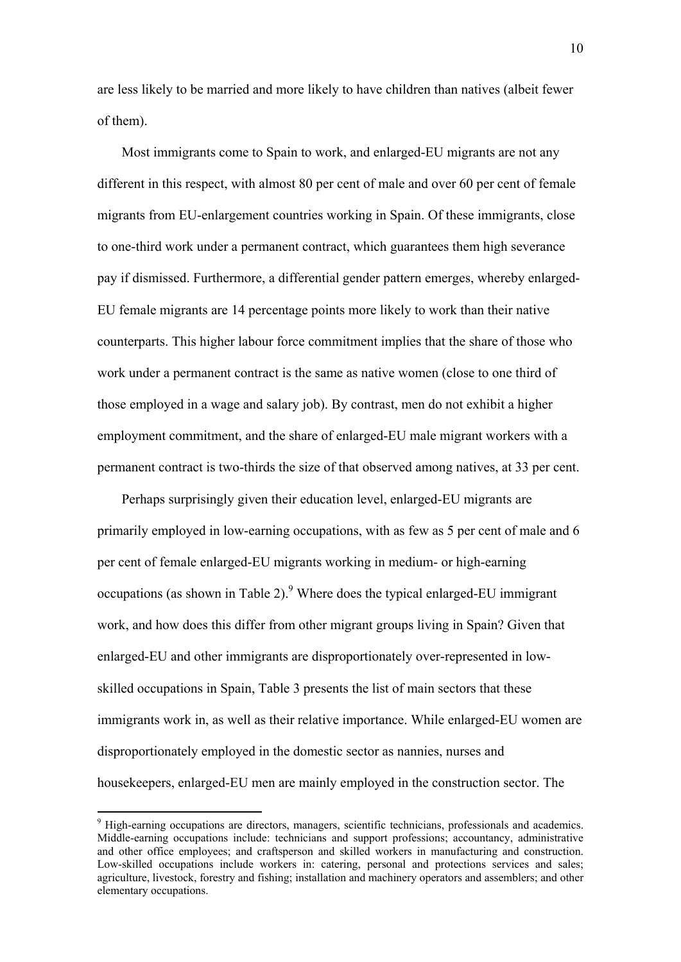are less likely to be married and more likely to have children than natives (albeit fewer of them).

Most immigrants come to Spain to work, and enlarged-EU migrants are not any different in this respect, with almost 80 per cent of male and over 60 per cent of female migrants from EU-enlargement countries working in Spain. Of these immigrants, close to one-third work under a permanent contract, which guarantees them high severance pay if dismissed. Furthermore, a differential gender pattern emerges, whereby enlarged-EU female migrants are 14 percentage points more likely to work than their native counterparts. This higher labour force commitment implies that the share of those who work under a permanent contract is the same as native women (close to one third of those employed in a wage and salary job). By contrast, men do not exhibit a higher employment commitment, and the share of enlarged-EU male migrant workers with a permanent contract is two-thirds the size of that observed among natives, at 33 per cent.

Perhaps surprisingly given their education level, enlarged-EU migrants are primarily employed in low-earning occupations, with as few as 5 per cent of male and 6 per cent of female enlarged-EU migrants working in medium- or high-earning occupations (as shown in Table 2). $9$  Where does the typical enlarged-EU immigrant work, and how does this differ from other migrant groups living in Spain? Given that enlarged-EU and other immigrants are disproportionately over-represented in lowskilled occupations in Spain, Table 3 presents the list of main sectors that these immigrants work in, as well as their relative importance. While enlarged-EU women are disproportionately employed in the domestic sector as nannies, nurses and housekeepers, enlarged-EU men are mainly employed in the construction sector. The

1

<sup>&</sup>lt;sup>9</sup> High-earning occupations are directors, managers, scientific technicians, professionals and academics. Middle-earning occupations include: technicians and support professions; accountancy, administrative and other office employees; and craftsperson and skilled workers in manufacturing and construction. Low-skilled occupations include workers in: catering, personal and protections services and sales; agriculture, livestock, forestry and fishing; installation and machinery operators and assemblers; and other elementary occupations.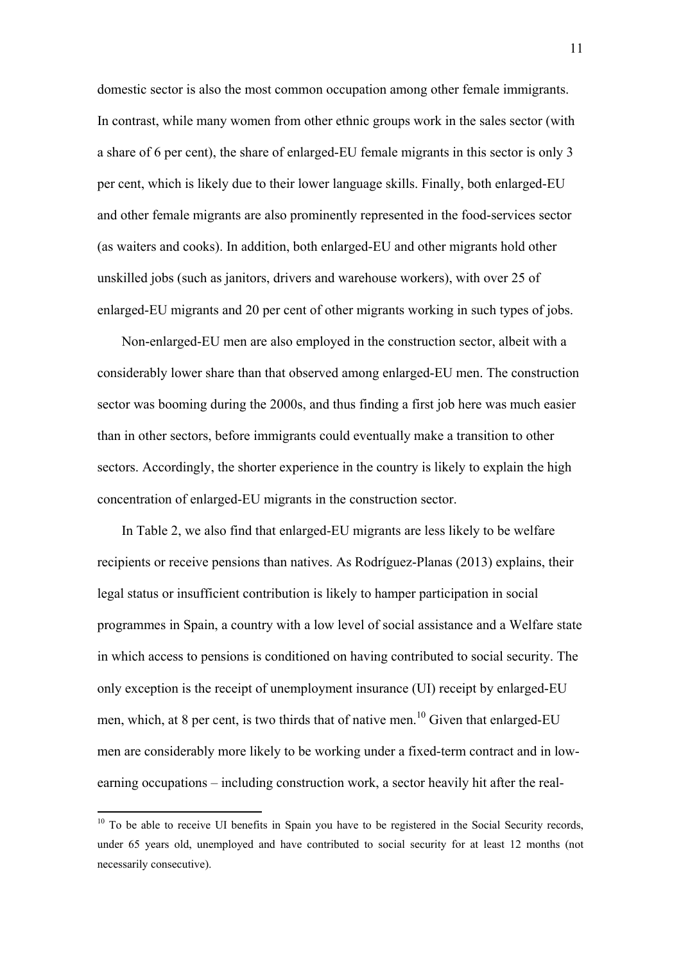domestic sector is also the most common occupation among other female immigrants. In contrast, while many women from other ethnic groups work in the sales sector (with a share of 6 per cent), the share of enlarged-EU female migrants in this sector is only 3 per cent, which is likely due to their lower language skills. Finally, both enlarged-EU and other female migrants are also prominently represented in the food-services sector (as waiters and cooks). In addition, both enlarged-EU and other migrants hold other unskilled jobs (such as janitors, drivers and warehouse workers), with over 25 of enlarged-EU migrants and 20 per cent of other migrants working in such types of jobs.

Non-enlarged-EU men are also employed in the construction sector, albeit with a considerably lower share than that observed among enlarged-EU men. The construction sector was booming during the 2000s, and thus finding a first job here was much easier than in other sectors, before immigrants could eventually make a transition to other sectors. Accordingly, the shorter experience in the country is likely to explain the high concentration of enlarged-EU migrants in the construction sector.

In Table 2, we also find that enlarged-EU migrants are less likely to be welfare recipients or receive pensions than natives. As Rodríguez-Planas (2013) explains, their legal status or insufficient contribution is likely to hamper participation in social programmes in Spain, a country with a low level of social assistance and a Welfare state in which access to pensions is conditioned on having contributed to social security. The only exception is the receipt of unemployment insurance (UI) receipt by enlarged-EU men, which, at 8 per cent, is two thirds that of native men.<sup>10</sup> Given that enlarged-EU men are considerably more likely to be working under a fixed-term contract and in lowearning occupations – including construction work, a sector heavily hit after the real-

1

 $10$  To be able to receive UI benefits in Spain you have to be registered in the Social Security records, under 65 years old, unemployed and have contributed to social security for at least 12 months (not necessarily consecutive).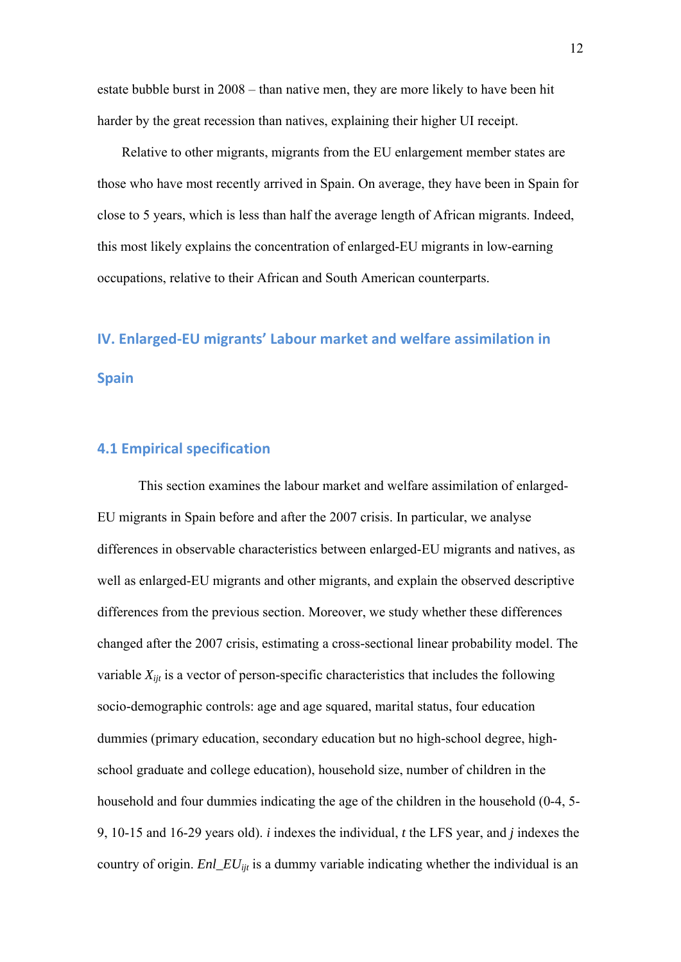estate bubble burst in 2008 – than native men, they are more likely to have been hit harder by the great recession than natives, explaining their higher UI receipt.

Relative to other migrants, migrants from the EU enlargement member states are those who have most recently arrived in Spain. On average, they have been in Spain for close to 5 years, which is less than half the average length of African migrants. Indeed, this most likely explains the concentration of enlarged-EU migrants in low-earning occupations, relative to their African and South American counterparts.

# **IV. Enlarged‐EU migrants' Labour market and welfare assimilation in Spain**

## **4.1 Empirical specification**

 This section examines the labour market and welfare assimilation of enlarged-EU migrants in Spain before and after the 2007 crisis. In particular, we analyse differences in observable characteristics between enlarged-EU migrants and natives, as well as enlarged-EU migrants and other migrants, and explain the observed descriptive differences from the previous section. Moreover, we study whether these differences changed after the 2007 crisis, estimating a cross-sectional linear probability model. The variable  $X_{ijt}$  is a vector of person-specific characteristics that includes the following socio-demographic controls: age and age squared, marital status, four education dummies (primary education, secondary education but no high-school degree, highschool graduate and college education), household size, number of children in the household and four dummies indicating the age of the children in the household (0-4, 5- 9, 10-15 and 16-29 years old). *i* indexes the individual, *t* the LFS year, and *j* indexes the country of origin. *Enl\_EUijt* is a dummy variable indicating whether the individual is an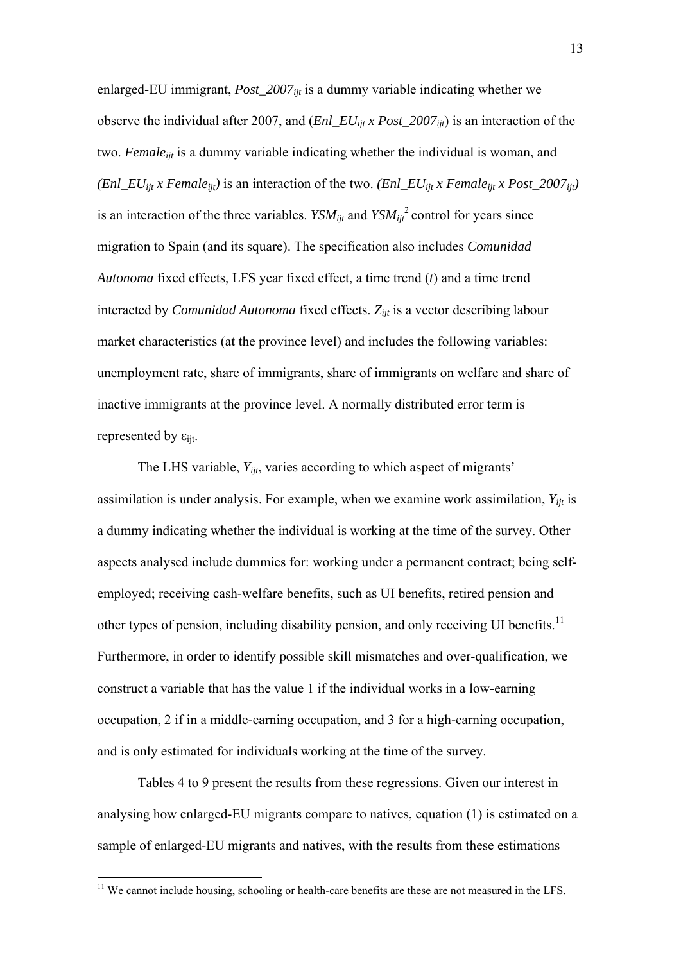enlarged-EU immigrant, *Post\_2007<sub>iit</sub>* is a dummy variable indicating whether we observe the individual after 2007, and (*Enl\_EUijt x Post\_2007ijt*) is an interaction of the two. *Femaleijt* is a dummy variable indicating whether the individual is woman, and *(Enl\_EU<sub>ijt</sub> x Female<sub>ijt</sub>)* is an interaction of the two. *(Enl\_EU<sub>ijt</sub> x Female<sub>ijt</sub> x Post\_2007<sub>ijt</sub>)* is an interaction of the three variables.  $YSM_{ijt}$  and  $YSM_{ijt}^2$  control for years since migration to Spain (and its square). The specification also includes *Comunidad Autonoma* fixed effects, LFS year fixed effect, a time trend (*t*) and a time trend interacted by *Comunidad Autonoma* fixed effects. *Zijt* is a vector describing labour market characteristics (at the province level) and includes the following variables: unemployment rate, share of immigrants, share of immigrants on welfare and share of inactive immigrants at the province level. A normally distributed error term is represented by  $\varepsilon_{\text{ijt}}$ .

 The LHS variable, *Yijt*, varies according to which aspect of migrants' assimilation is under analysis. For example, when we examine work assimilation,  $Y_{ijt}$  is a dummy indicating whether the individual is working at the time of the survey. Other aspects analysed include dummies for: working under a permanent contract; being selfemployed; receiving cash-welfare benefits, such as UI benefits, retired pension and other types of pension, including disability pension, and only receiving UI benefits.<sup>11</sup> Furthermore, in order to identify possible skill mismatches and over-qualification, we construct a variable that has the value 1 if the individual works in a low-earning occupation, 2 if in a middle-earning occupation, and 3 for a high-earning occupation, and is only estimated for individuals working at the time of the survey.

 Tables 4 to 9 present the results from these regressions. Given our interest in analysing how enlarged-EU migrants compare to natives, equation (1) is estimated on a sample of enlarged-EU migrants and natives, with the results from these estimations

1

<sup>&</sup>lt;sup>11</sup> We cannot include housing, schooling or health-care benefits are these are not measured in the LFS.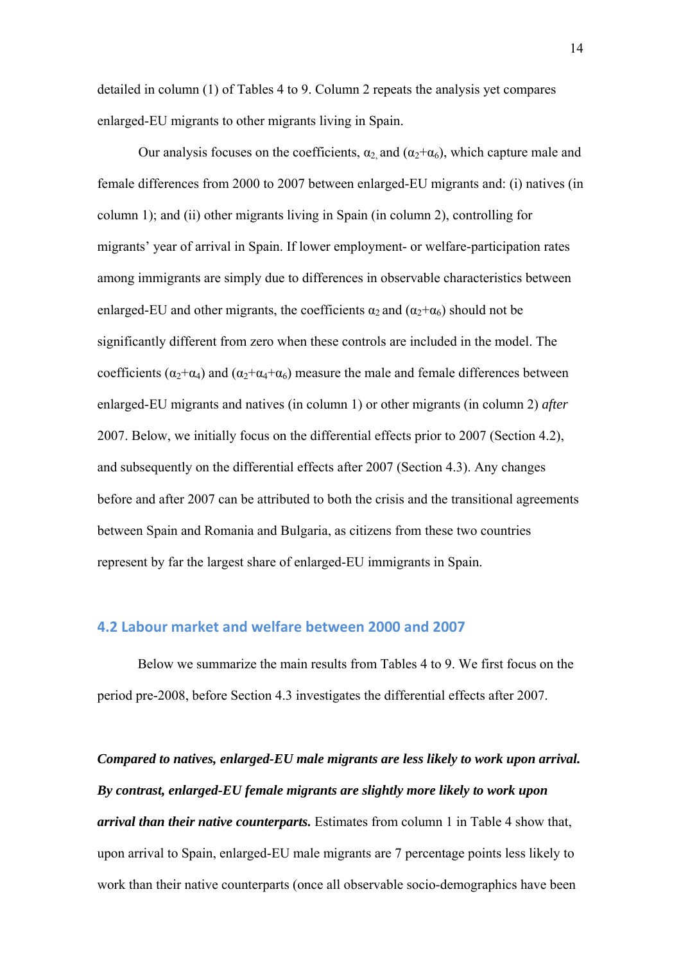detailed in column (1) of Tables 4 to 9. Column 2 repeats the analysis yet compares enlarged-EU migrants to other migrants living in Spain.

Our analysis focuses on the coefficients,  $\alpha_2$  and  $(\alpha_2 + \alpha_6)$ , which capture male and female differences from 2000 to 2007 between enlarged-EU migrants and: (i) natives (in column 1); and (ii) other migrants living in Spain (in column 2), controlling for migrants' year of arrival in Spain. If lower employment- or welfare-participation rates among immigrants are simply due to differences in observable characteristics between enlarged-EU and other migrants, the coefficients  $\alpha_2$  and  $(\alpha_2 + \alpha_6)$  should not be significantly different from zero when these controls are included in the model. The coefficients ( $\alpha_2+\alpha_4$ ) and ( $\alpha_2+\alpha_4+\alpha_6$ ) measure the male and female differences between enlarged-EU migrants and natives (in column 1) or other migrants (in column 2) *after* 2007. Below, we initially focus on the differential effects prior to 2007 (Section 4.2), and subsequently on the differential effects after 2007 (Section 4.3). Any changes before and after 2007 can be attributed to both the crisis and the transitional agreements between Spain and Romania and Bulgaria, as citizens from these two countries represent by far the largest share of enlarged-EU immigrants in Spain.

### **4.2 Labour market and welfare between 2000 and 2007**

Below we summarize the main results from Tables 4 to 9. We first focus on the period pre-2008, before Section 4.3 investigates the differential effects after 2007.

*Compared to natives, enlarged-EU male migrants are less likely to work upon arrival. By contrast, enlarged-EU female migrants are slightly more likely to work upon arrival than their native counterparts.* Estimates from column 1 in Table 4 show that, upon arrival to Spain, enlarged-EU male migrants are 7 percentage points less likely to work than their native counterparts (once all observable socio-demographics have been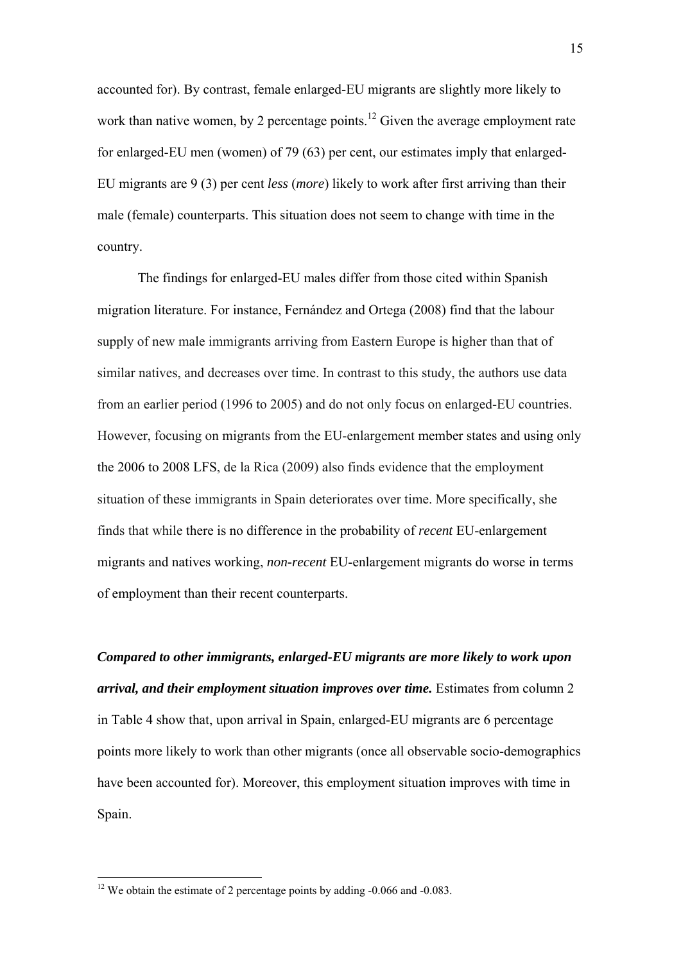accounted for). By contrast, female enlarged-EU migrants are slightly more likely to work than native women, by 2 percentage points.<sup>12</sup> Given the average employment rate for enlarged-EU men (women) of 79 (63) per cent, our estimates imply that enlarged-EU migrants are 9 (3) per cent *less* (*more*) likely to work after first arriving than their male (female) counterparts. This situation does not seem to change with time in the country.

The findings for enlarged-EU males differ from those cited within Spanish migration literature. For instance, Fernández and Ortega (2008) find that the labour supply of new male immigrants arriving from Eastern Europe is higher than that of similar natives, and decreases over time. In contrast to this study, the authors use data from an earlier period (1996 to 2005) and do not only focus on enlarged-EU countries. However, focusing on migrants from the EU-enlargement member states and using only the 2006 to 2008 LFS, de la Rica (2009) also finds evidence that the employment situation of these immigrants in Spain deteriorates over time. More specifically, she finds that while there is no difference in the probability of *recent* EU-enlargement migrants and natives working, *non-recent* EU-enlargement migrants do worse in terms of employment than their recent counterparts.

*Compared to other immigrants, enlarged-EU migrants are more likely to work upon arrival, and their employment situation improves over time.* Estimates from column 2 in Table 4 show that, upon arrival in Spain, enlarged-EU migrants are 6 percentage points more likely to work than other migrants (once all observable socio-demographics have been accounted for). Moreover, this employment situation improves with time in Spain.

1

<sup>&</sup>lt;sup>12</sup> We obtain the estimate of 2 percentage points by adding -0.066 and -0.083.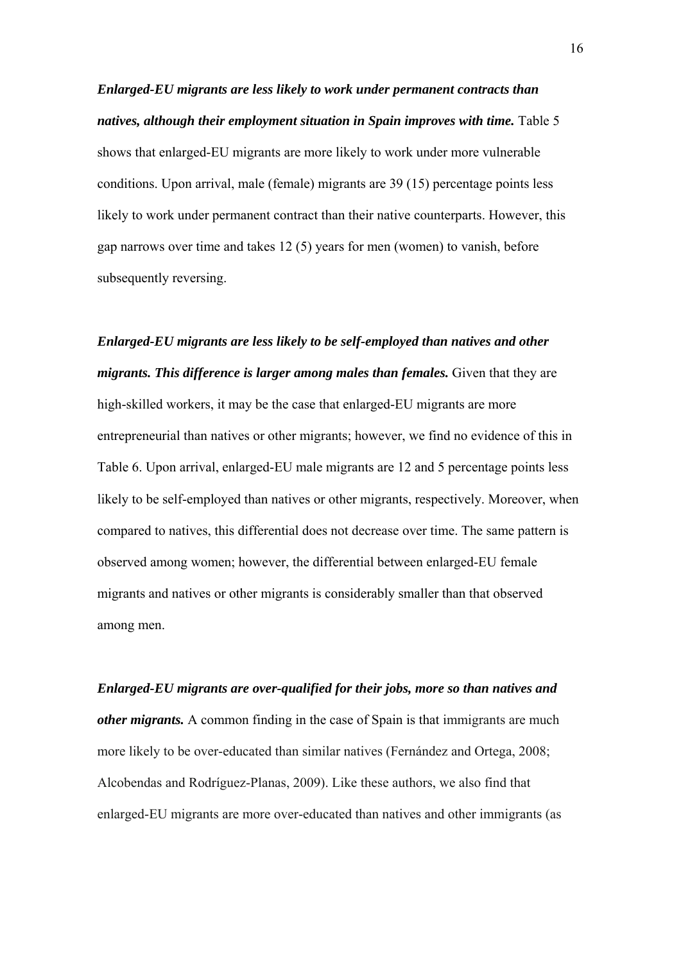*Enlarged-EU migrants are less likely to work under permanent contracts than natives, although their employment situation in Spain improves with time.* Table 5 shows that enlarged-EU migrants are more likely to work under more vulnerable conditions. Upon arrival, male (female) migrants are 39 (15) percentage points less likely to work under permanent contract than their native counterparts. However, this gap narrows over time and takes 12 (5) years for men (women) to vanish, before subsequently reversing.

*Enlarged-EU migrants are less likely to be self-employed than natives and other migrants. This difference is larger among males than females.* Given that they are high-skilled workers, it may be the case that enlarged-EU migrants are more entrepreneurial than natives or other migrants; however, we find no evidence of this in Table 6. Upon arrival, enlarged-EU male migrants are 12 and 5 percentage points less likely to be self-employed than natives or other migrants, respectively. Moreover, when compared to natives, this differential does not decrease over time. The same pattern is observed among women; however, the differential between enlarged-EU female migrants and natives or other migrants is considerably smaller than that observed among men.

*Enlarged-EU migrants are over-qualified for their jobs, more so than natives and other migrants.* A common finding in the case of Spain is that immigrants are much more likely to be over-educated than similar natives (Fernández and Ortega, 2008; Alcobendas and Rodríguez-Planas, 2009). Like these authors, we also find that enlarged-EU migrants are more over-educated than natives and other immigrants (as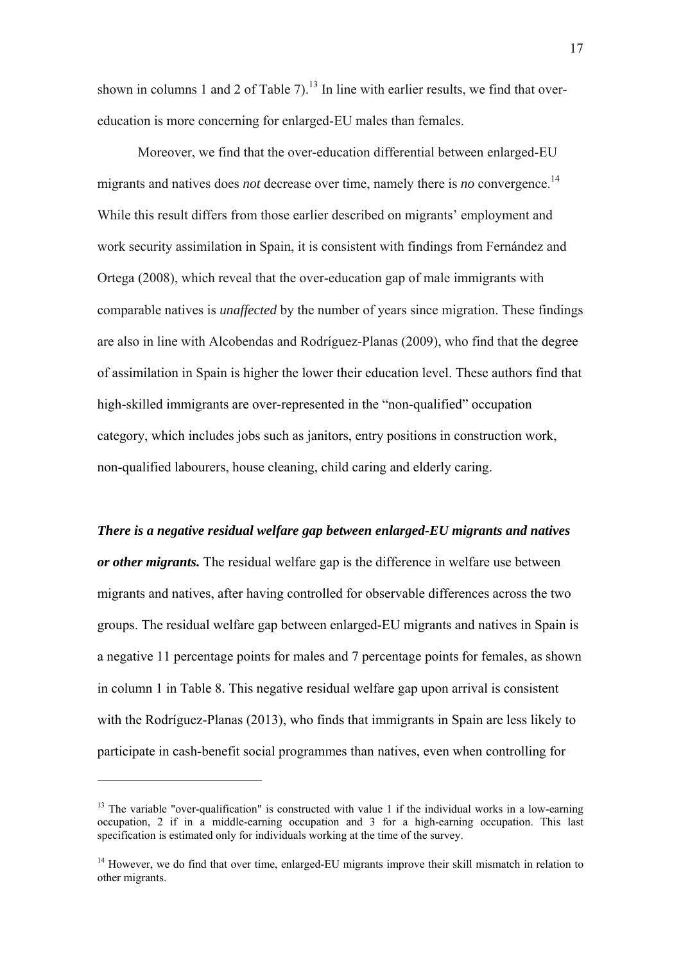shown in columns 1 and 2 of Table 7).<sup>13</sup> In line with earlier results, we find that overeducation is more concerning for enlarged-EU males than females.

 Moreover, we find that the over-education differential between enlarged-EU migrants and natives does *not* decrease over time, namely there is *no* convergence.<sup>14</sup> While this result differs from those earlier described on migrants' employment and work security assimilation in Spain, it is consistent with findings from Fernández and Ortega (2008), which reveal that the over-education gap of male immigrants with comparable natives is *unaffected* by the number of years since migration. These findings are also in line with Alcobendas and Rodríguez-Planas (2009), who find that the degree of assimilation in Spain is higher the lower their education level. These authors find that high-skilled immigrants are over-represented in the "non-qualified" occupation category, which includes jobs such as janitors, entry positions in construction work, non-qualified labourers, house cleaning, child caring and elderly caring.

*There is a negative residual welfare gap between enlarged-EU migrants and natives or other migrants.* The residual welfare gap is the difference in welfare use between migrants and natives, after having controlled for observable differences across the two groups. The residual welfare gap between enlarged-EU migrants and natives in Spain is a negative 11 percentage points for males and 7 percentage points for females, as shown in column 1 in Table 8. This negative residual welfare gap upon arrival is consistent with the Rodríguez-Planas (2013), who finds that immigrants in Spain are less likely to participate in cash-benefit social programmes than natives, even when controlling for

1

 $13$  The variable "over-qualification" is constructed with value 1 if the individual works in a low-earning occupation, 2 if in a middle-earning occupation and 3 for a high-earning occupation. This last specification is estimated only for individuals working at the time of the survey.

<sup>&</sup>lt;sup>14</sup> However, we do find that over time, enlarged-EU migrants improve their skill mismatch in relation to other migrants.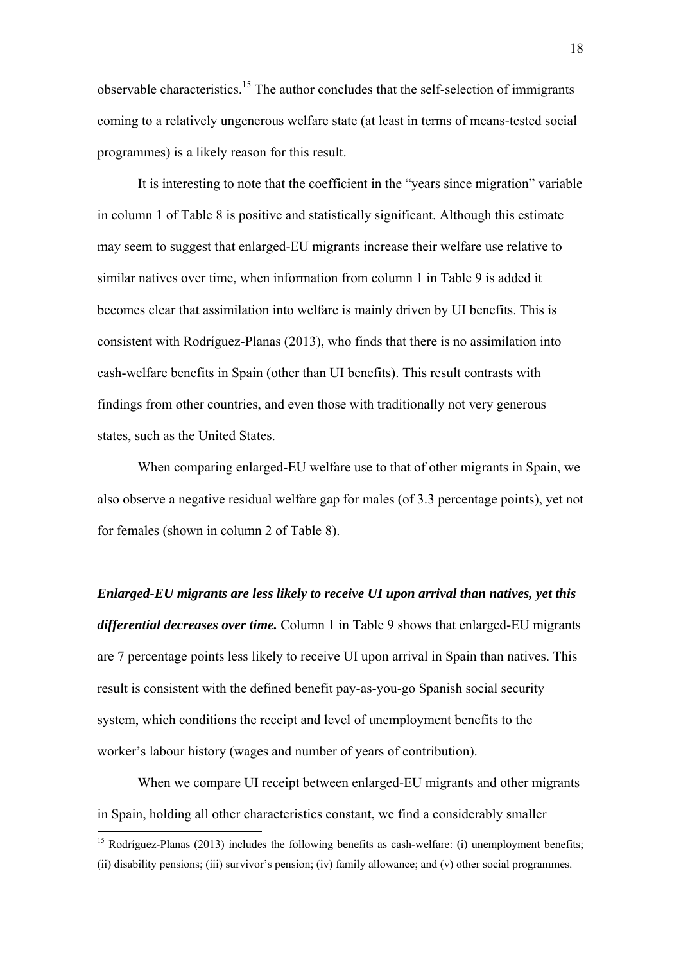observable characteristics.<sup>15</sup> The author concludes that the self-selection of immigrants coming to a relatively ungenerous welfare state (at least in terms of means-tested social programmes) is a likely reason for this result.

It is interesting to note that the coefficient in the "years since migration" variable in column 1 of Table 8 is positive and statistically significant. Although this estimate may seem to suggest that enlarged-EU migrants increase their welfare use relative to similar natives over time, when information from column 1 in Table 9 is added it becomes clear that assimilation into welfare is mainly driven by UI benefits. This is consistent with Rodríguez-Planas (2013), who finds that there is no assimilation into cash-welfare benefits in Spain (other than UI benefits). This result contrasts with findings from other countries, and even those with traditionally not very generous states, such as the United States.

 When comparing enlarged-EU welfare use to that of other migrants in Spain, we also observe a negative residual welfare gap for males (of 3.3 percentage points), yet not for females (shown in column 2 of Table 8).

*Enlarged-EU migrants are less likely to receive UI upon arrival than natives, yet this differential decreases over time.* Column 1 in Table 9 shows that enlarged-EU migrants are 7 percentage points less likely to receive UI upon arrival in Spain than natives. This result is consistent with the defined benefit pay-as-you-go Spanish social security system, which conditions the receipt and level of unemployment benefits to the worker's labour history (wages and number of years of contribution).

 When we compare UI receipt between enlarged-EU migrants and other migrants in Spain, holding all other characteristics constant, we find a considerably smaller

1

<sup>&</sup>lt;sup>15</sup> Rodríguez-Planas (2013) includes the following benefits as cash-welfare: (i) unemployment benefits; (ii) disability pensions; (iii) survivor's pension; (iv) family allowance; and (v) other social programmes.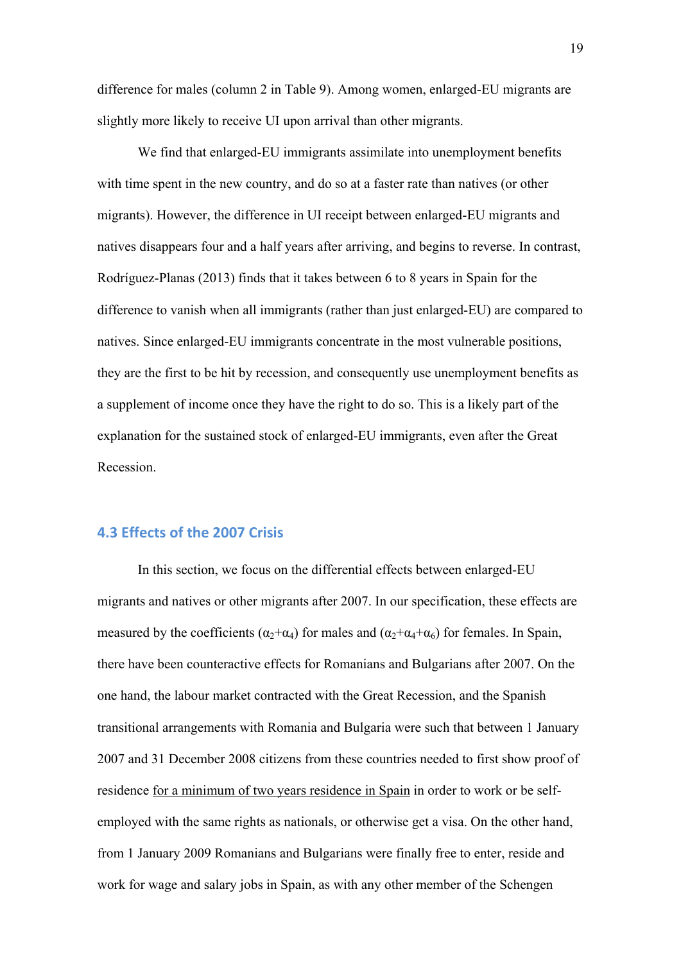difference for males (column 2 in Table 9). Among women, enlarged-EU migrants are slightly more likely to receive UI upon arrival than other migrants.

 We find that enlarged-EU immigrants assimilate into unemployment benefits with time spent in the new country, and do so at a faster rate than natives (or other migrants). However, the difference in UI receipt between enlarged-EU migrants and natives disappears four and a half years after arriving, and begins to reverse. In contrast, Rodríguez-Planas (2013) finds that it takes between 6 to 8 years in Spain for the difference to vanish when all immigrants (rather than just enlarged-EU) are compared to natives. Since enlarged-EU immigrants concentrate in the most vulnerable positions, they are the first to be hit by recession, and consequently use unemployment benefits as a supplement of income once they have the right to do so. This is a likely part of the explanation for the sustained stock of enlarged-EU immigrants, even after the Great Recession.

#### **4.3 Effects of the 2007 Crisis**

In this section, we focus on the differential effects between enlarged-EU migrants and natives or other migrants after 2007. In our specification, these effects are measured by the coefficients ( $\alpha_2 + \alpha_4$ ) for males and ( $\alpha_2 + \alpha_4 + \alpha_6$ ) for females. In Spain, there have been counteractive effects for Romanians and Bulgarians after 2007. On the one hand, the labour market contracted with the Great Recession, and the Spanish transitional arrangements with Romania and Bulgaria were such that between 1 January 2007 and 31 December 2008 citizens from these countries needed to first show proof of residence for a minimum of two years residence in Spain in order to work or be selfemployed with the same rights as nationals, or otherwise get a visa. On the other hand, from 1 January 2009 Romanians and Bulgarians were finally free to enter, reside and work for wage and salary jobs in Spain, as with any other member of the Schengen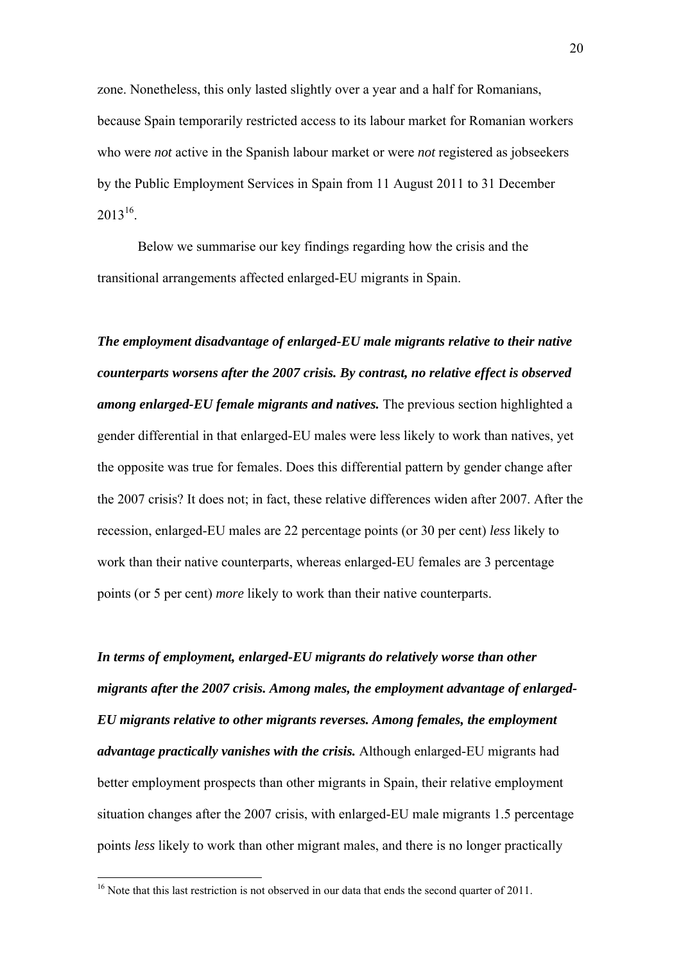zone. Nonetheless, this only lasted slightly over a year and a half for Romanians, because Spain temporarily restricted access to its labour market for Romanian workers who were *not* active in the Spanish labour market or were *not* registered as jobseekers by the Public Employment Services in Spain from 11 August 2011 to 31 December  $2013^{16}$ .

 Below we summarise our key findings regarding how the crisis and the transitional arrangements affected enlarged-EU migrants in Spain.

*The employment disadvantage of enlarged-EU male migrants relative to their native counterparts worsens after the 2007 crisis. By contrast, no relative effect is observed among enlarged-EU female migrants and natives.* The previous section highlighted a gender differential in that enlarged-EU males were less likely to work than natives, yet the opposite was true for females. Does this differential pattern by gender change after the 2007 crisis? It does not; in fact, these relative differences widen after 2007. After the recession, enlarged-EU males are 22 percentage points (or 30 per cent) *less* likely to work than their native counterparts, whereas enlarged-EU females are 3 percentage points (or 5 per cent) *more* likely to work than their native counterparts.

*In terms of employment, enlarged-EU migrants do relatively worse than other migrants after the 2007 crisis. Among males, the employment advantage of enlarged-EU migrants relative to other migrants reverses. Among females, the employment advantage practically vanishes with the crisis.* Although enlarged-EU migrants had better employment prospects than other migrants in Spain, their relative employment situation changes after the 2007 crisis, with enlarged-EU male migrants 1.5 percentage points *less* likely to work than other migrant males, and there is no longer practically

1

<sup>&</sup>lt;sup>16</sup> Note that this last restriction is not observed in our data that ends the second quarter of 2011.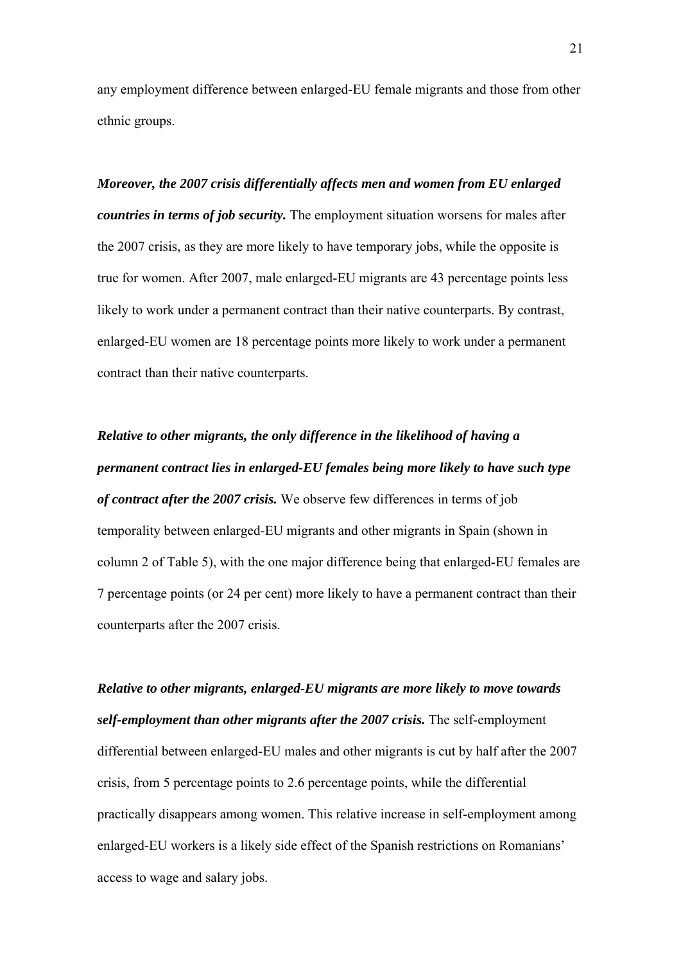any employment difference between enlarged-EU female migrants and those from other ethnic groups.

*Moreover, the 2007 crisis differentially affects men and women from EU enlarged countries in terms of job security.* The employment situation worsens for males after the 2007 crisis, as they are more likely to have temporary jobs, while the opposite is true for women. After 2007, male enlarged-EU migrants are 43 percentage points less likely to work under a permanent contract than their native counterparts. By contrast, enlarged-EU women are 18 percentage points more likely to work under a permanent contract than their native counterparts.

*Relative to other migrants, the only difference in the likelihood of having a permanent contract lies in enlarged-EU females being more likely to have such type of contract after the 2007 crisis.* We observe few differences in terms of job temporality between enlarged-EU migrants and other migrants in Spain (shown in column 2 of Table 5), with the one major difference being that enlarged-EU females are 7 percentage points (or 24 per cent) more likely to have a permanent contract than their counterparts after the 2007 crisis.

*Relative to other migrants, enlarged-EU migrants are more likely to move towards self-employment than other migrants after the 2007 crisis.* The self-employment differential between enlarged-EU males and other migrants is cut by half after the 2007 crisis, from 5 percentage points to 2.6 percentage points, while the differential practically disappears among women. This relative increase in self-employment among enlarged-EU workers is a likely side effect of the Spanish restrictions on Romanians' access to wage and salary jobs.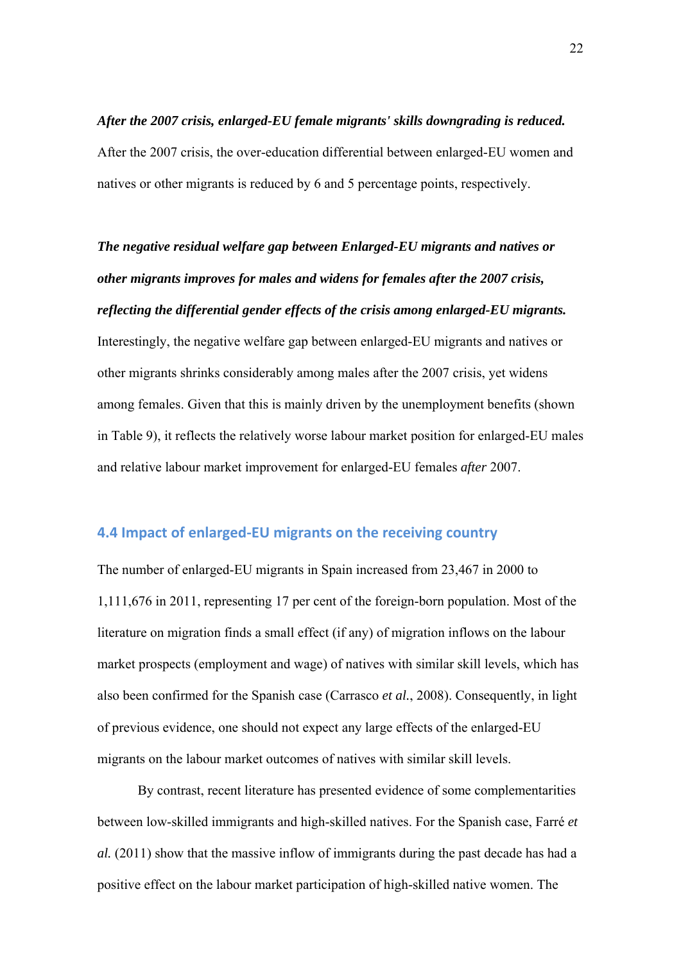*After the 2007 crisis, enlarged-EU female migrants' skills downgrading is reduced.*  After the 2007 crisis, the over-education differential between enlarged-EU women and natives or other migrants is reduced by 6 and 5 percentage points, respectively.

*The negative residual welfare gap between Enlarged-EU migrants and natives or other migrants improves for males and widens for females after the 2007 crisis, reflecting the differential gender effects of the crisis among enlarged-EU migrants.*  Interestingly, the negative welfare gap between enlarged-EU migrants and natives or other migrants shrinks considerably among males after the 2007 crisis, yet widens among females. Given that this is mainly driven by the unemployment benefits (shown in Table 9), it reflects the relatively worse labour market position for enlarged-EU males and relative labour market improvement for enlarged-EU females *after* 2007.

#### **4.4 Impact of enlarged‐EU migrants on the receiving country**

The number of enlarged-EU migrants in Spain increased from 23,467 in 2000 to 1,111,676 in 2011, representing 17 per cent of the foreign-born population. Most of the literature on migration finds a small effect (if any) of migration inflows on the labour market prospects (employment and wage) of natives with similar skill levels, which has also been confirmed for the Spanish case (Carrasco *et al.*, 2008). Consequently, in light of previous evidence, one should not expect any large effects of the enlarged-EU migrants on the labour market outcomes of natives with similar skill levels.

 By contrast, recent literature has presented evidence of some complementarities between low-skilled immigrants and high-skilled natives. For the Spanish case, Farré *et al.* (2011) show that the massive inflow of immigrants during the past decade has had a positive effect on the labour market participation of high-skilled native women. The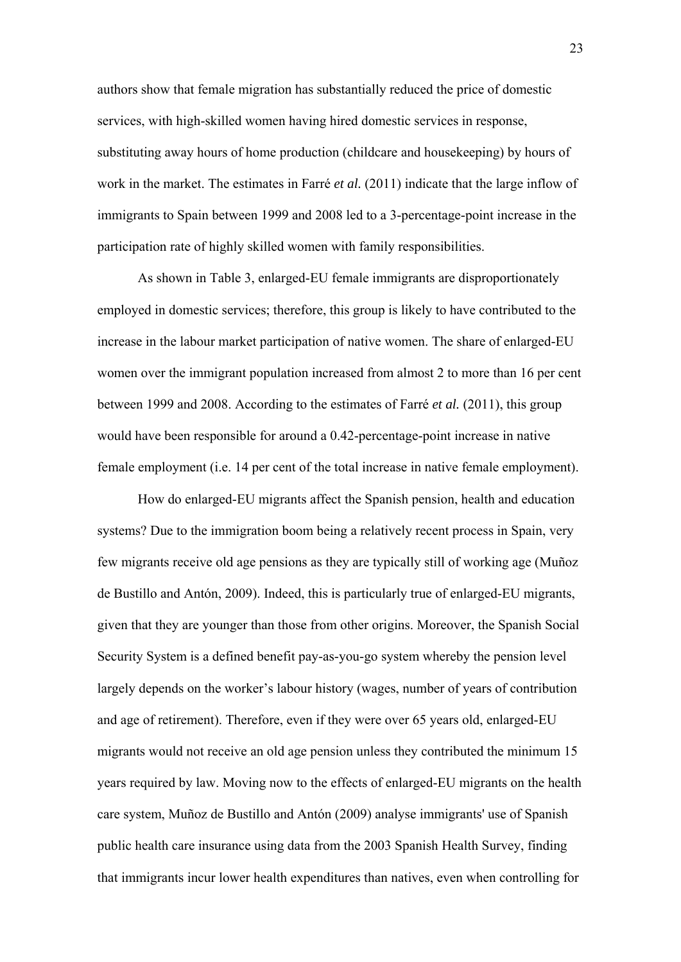authors show that female migration has substantially reduced the price of domestic services, with high-skilled women having hired domestic services in response, substituting away hours of home production (childcare and housekeeping) by hours of work in the market. The estimates in Farré *et al.* (2011) indicate that the large inflow of immigrants to Spain between 1999 and 2008 led to a 3-percentage-point increase in the participation rate of highly skilled women with family responsibilities.

 As shown in Table 3, enlarged-EU female immigrants are disproportionately employed in domestic services; therefore, this group is likely to have contributed to the increase in the labour market participation of native women. The share of enlarged-EU women over the immigrant population increased from almost 2 to more than 16 per cent between 1999 and 2008. According to the estimates of Farré *et al.* (2011), this group would have been responsible for around a 0.42-percentage-point increase in native female employment (i.e. 14 per cent of the total increase in native female employment).

 How do enlarged-EU migrants affect the Spanish pension, health and education systems? Due to the immigration boom being a relatively recent process in Spain, very few migrants receive old age pensions as they are typically still of working age (Muñoz de Bustillo and Antón, 2009). Indeed, this is particularly true of enlarged-EU migrants, given that they are younger than those from other origins. Moreover, the Spanish Social Security System is a defined benefit pay-as-you-go system whereby the pension level largely depends on the worker's labour history (wages, number of years of contribution and age of retirement). Therefore, even if they were over 65 years old, enlarged-EU migrants would not receive an old age pension unless they contributed the minimum 15 years required by law. Moving now to the effects of enlarged-EU migrants on the health care system, Muñoz de Bustillo and Antón (2009) analyse immigrants' use of Spanish public health care insurance using data from the 2003 Spanish Health Survey, finding that immigrants incur lower health expenditures than natives, even when controlling for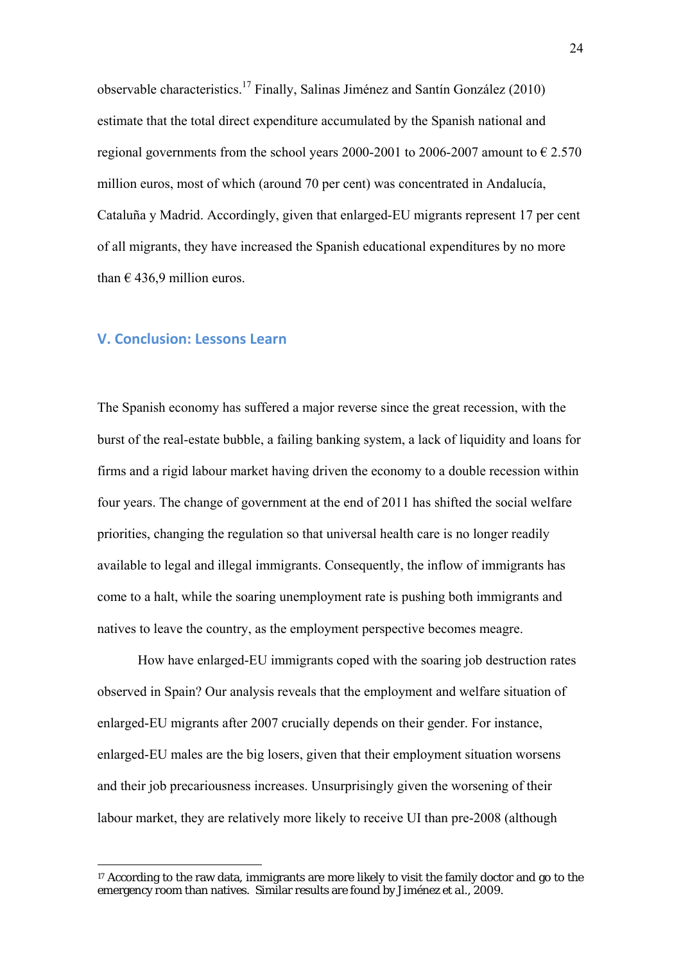observable characteristics.<sup>17</sup> Finally, Salinas Jiménez and Santín González (2010) estimate that the total direct expenditure accumulated by the Spanish national and regional governments from the school years 2000-2001 to 2006-2007 amount to  $\epsilon$  2.570 million euros, most of which (around 70 per cent) was concentrated in Andalucía, Cataluña y Madrid. Accordingly, given that enlarged-EU migrants represent 17 per cent of all migrants, they have increased the Spanish educational expenditures by no more than  $\epsilon$  436,9 million euros.

#### **V. Conclusion: Lessons Learn**

1

The Spanish economy has suffered a major reverse since the great recession, with the burst of the real-estate bubble, a failing banking system, a lack of liquidity and loans for firms and a rigid labour market having driven the economy to a double recession within four years. The change of government at the end of 2011 has shifted the social welfare priorities, changing the regulation so that universal health care is no longer readily available to legal and illegal immigrants. Consequently, the inflow of immigrants has come to a halt, while the soaring unemployment rate is pushing both immigrants and natives to leave the country, as the employment perspective becomes meagre.

 How have enlarged-EU immigrants coped with the soaring job destruction rates observed in Spain? Our analysis reveals that the employment and welfare situation of enlarged-EU migrants after 2007 crucially depends on their gender. For instance, enlarged-EU males are the big losers, given that their employment situation worsens and their job precariousness increases. Unsurprisingly given the worsening of their labour market, they are relatively more likely to receive UI than pre-2008 (although

<sup>&</sup>lt;sup>17</sup> According to the raw data, immigrants are more likely to visit the family doctor and go to the emergency room than natives. Similar results are found by Jiménez *et al.*, 2009.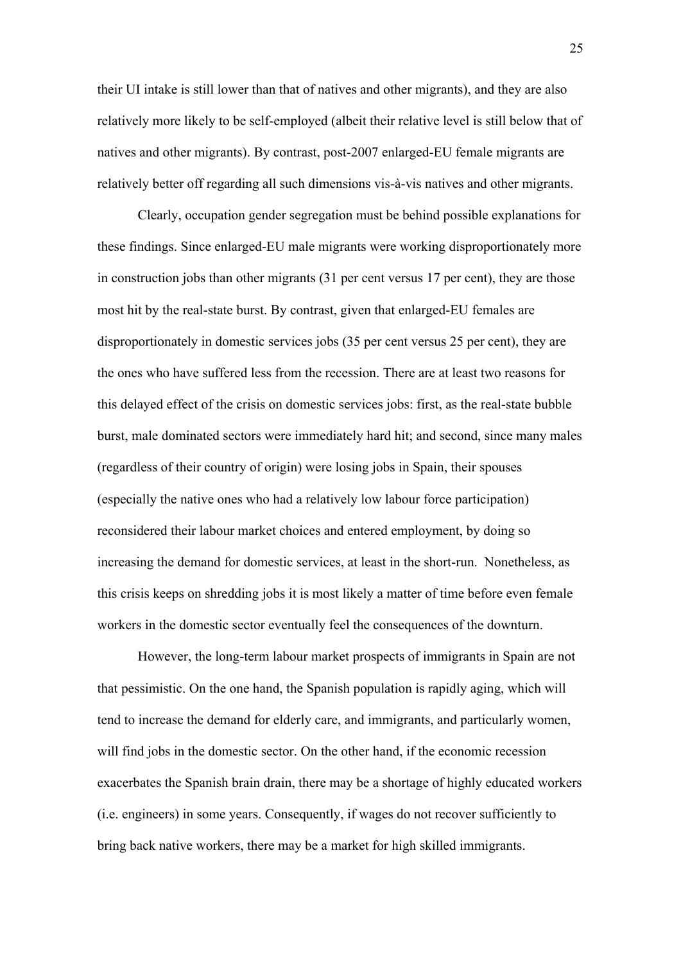their UI intake is still lower than that of natives and other migrants), and they are also relatively more likely to be self-employed (albeit their relative level is still below that of natives and other migrants). By contrast, post-2007 enlarged-EU female migrants are relatively better off regarding all such dimensions vis-à-vis natives and other migrants.

 Clearly, occupation gender segregation must be behind possible explanations for these findings. Since enlarged-EU male migrants were working disproportionately more in construction jobs than other migrants (31 per cent versus 17 per cent), they are those most hit by the real-state burst. By contrast, given that enlarged-EU females are disproportionately in domestic services jobs (35 per cent versus 25 per cent), they are the ones who have suffered less from the recession. There are at least two reasons for this delayed effect of the crisis on domestic services jobs: first, as the real-state bubble burst, male dominated sectors were immediately hard hit; and second, since many males (regardless of their country of origin) were losing jobs in Spain, their spouses (especially the native ones who had a relatively low labour force participation) reconsidered their labour market choices and entered employment, by doing so increasing the demand for domestic services, at least in the short-run. Nonetheless, as this crisis keeps on shredding jobs it is most likely a matter of time before even female workers in the domestic sector eventually feel the consequences of the downturn.

 However, the long-term labour market prospects of immigrants in Spain are not that pessimistic. On the one hand, the Spanish population is rapidly aging, which will tend to increase the demand for elderly care, and immigrants, and particularly women, will find jobs in the domestic sector. On the other hand, if the economic recession exacerbates the Spanish brain drain, there may be a shortage of highly educated workers (i.e. engineers) in some years. Consequently, if wages do not recover sufficiently to bring back native workers, there may be a market for high skilled immigrants.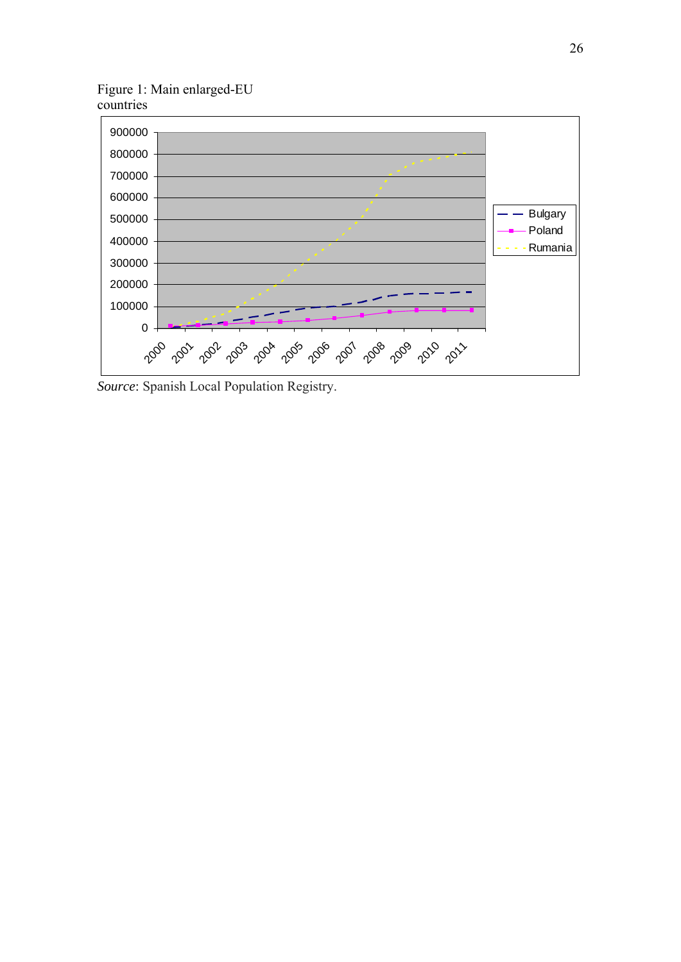Figure 1: Main enlarged-EU countries



*Source*: Spanish Local Population Registry.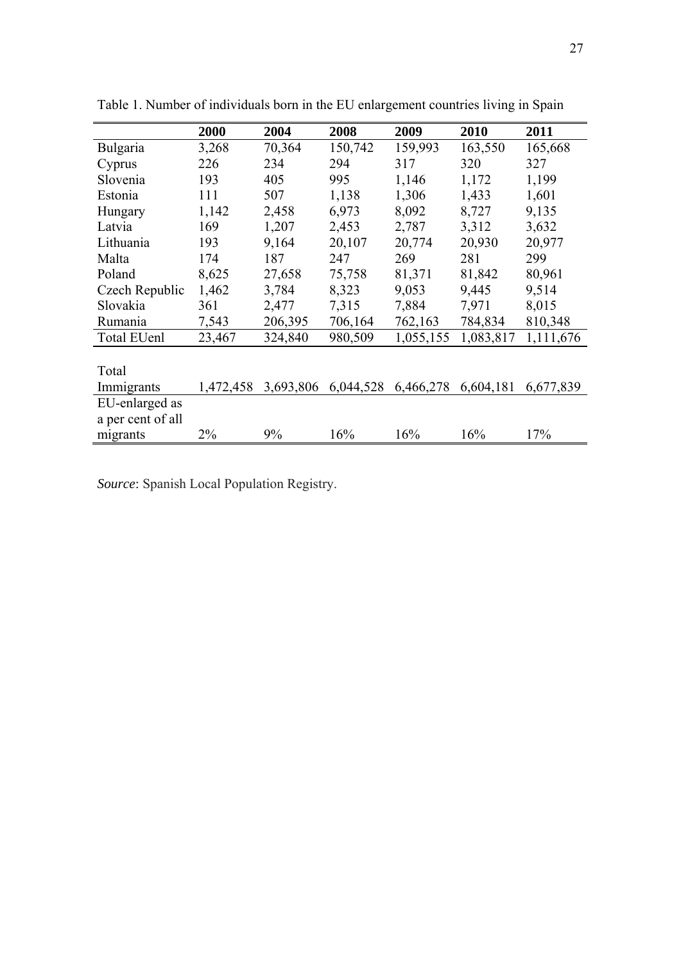|                   | 2000      | 2004      | 2008      | 2009      | 2010      | 2011      |
|-------------------|-----------|-----------|-----------|-----------|-----------|-----------|
| <b>Bulgaria</b>   | 3,268     | 70,364    | 150,742   | 159,993   | 163,550   | 165,668   |
| Cyprus            | 226       | 234       | 294       | 317       | 320       | 327       |
| Slovenia          | 193       | 405       | 995       | 1,146     | 1,172     | 1,199     |
| Estonia           | 111       | 507       | 1,138     | 1,306     | 1,433     | 1,601     |
| Hungary           | 1,142     | 2,458     | 6,973     | 8,092     | 8,727     | 9,135     |
| Latvia            | 169       | 1,207     | 2,453     | 2,787     | 3,312     | 3,632     |
| Lithuania         | 193       | 9,164     | 20,107    | 20,774    | 20,930    | 20,977    |
| Malta             | 174       | 187       | 247       | 269       | 281       | 299       |
| Poland            | 8,625     | 27,658    | 75,758    | 81,371    | 81,842    | 80,961    |
| Czech Republic    | 1,462     | 3,784     | 8,323     | 9,053     | 9,445     | 9,514     |
| Slovakia          | 361       | 2,477     | 7,315     | 7,884     | 7,971     | 8,015     |
| Rumania           | 7,543     | 206,395   | 706,164   | 762,163   | 784,834   | 810,348   |
| Total EUenl       | 23,467    | 324,840   | 980,509   | 1,055,155 | 1,083,817 | 1,111,676 |
|                   |           |           |           |           |           |           |
| Total             |           |           |           |           |           |           |
| Immigrants        | 1,472,458 | 3,693,806 | 6,044,528 | 6,466,278 | 6,604,181 | 6,677,839 |
| EU-enlarged as    |           |           |           |           |           |           |
| a per cent of all |           |           |           |           |           |           |
| migrants          | $2\%$     | 9%        | 16%       | 16%       | 16%       | 17%       |

Table 1. Number of individuals born in the EU enlargement countries living in Spain

*Source*: Spanish Local Population Registry.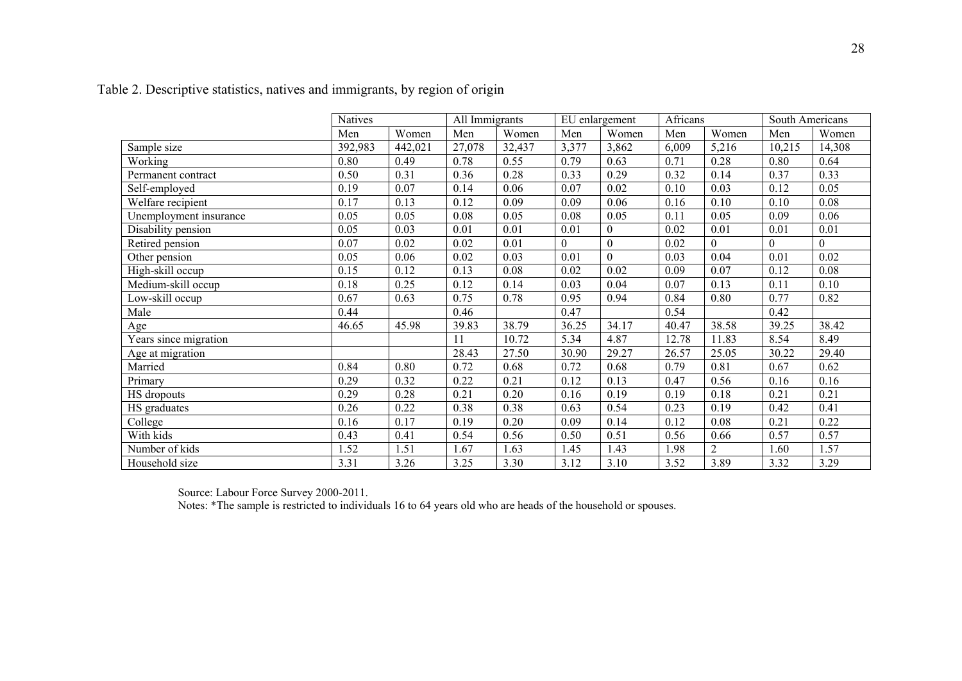|                        | Natives |         | All Immigrants |        | EU enlargement |                | Africans |                | South Americans |          |
|------------------------|---------|---------|----------------|--------|----------------|----------------|----------|----------------|-----------------|----------|
|                        | Men     | Women   | Men            | Women  | Men            | Women          | Men      | Women          | Men             | Women    |
| Sample size            | 392,983 | 442,021 | 27,078         | 32,437 | 3,377          | 3,862          | 6,009    | 5,216          | 10,215          | 14,308   |
| Working                | 0.80    | 0.49    | 0.78           | 0.55   | 0.79           | 0.63           | 0.71     | 0.28           | 0.80            | 0.64     |
| Permanent contract     | 0.50    | 0.31    | 0.36           | 0.28   | 0.33           | 0.29           | 0.32     | 0.14           | 0.37            | 0.33     |
| Self-employed          | 0.19    | 0.07    | 0.14           | 0.06   | 0.07           | 0.02           | 0.10     | 0.03           | 0.12            | 0.05     |
| Welfare recipient      | 0.17    | 0.13    | 0.12           | 0.09   | 0.09           | 0.06           | 0.16     | 0.10           | 0.10            | 0.08     |
| Unemployment insurance | 0.05    | 0.05    | 0.08           | 0.05   | 0.08           | 0.05           | 0.11     | 0.05           | 0.09            | 0.06     |
| Disability pension     | 0.05    | 0.03    | 0.01           | 0.01   | 0.01           | $\overline{0}$ | 0.02     | 0.01           | 0.01            | 0.01     |
| Retired pension        | 0.07    | 0.02    | 0.02           | 0.01   | $\Omega$       | $\theta$       | 0.02     | $\theta$       | $\Omega$        | $\theta$ |
| Other pension          | 0.05    | 0.06    | 0.02           | 0.03   | 0.01           | $\overline{0}$ | 0.03     | 0.04           | 0.01            | 0.02     |
| High-skill occup       | 0.15    | 0.12    | 0.13           | 0.08   | 0.02           | 0.02           | 0.09     | 0.07           | 0.12            | 0.08     |
| Medium-skill occup     | 0.18    | 0.25    | 0.12           | 0.14   | 0.03           | 0.04           | 0.07     | 0.13           | 0.11            | 0.10     |
| Low-skill occup        | 0.67    | 0.63    | 0.75           | 0.78   | 0.95           | 0.94           | 0.84     | 0.80           | 0.77            | 0.82     |
| Male                   | 0.44    |         | 0.46           |        | 0.47           |                | 0.54     |                | 0.42            |          |
| Age                    | 46.65   | 45.98   | 39.83          | 38.79  | 36.25          | 34.17          | 40.47    | 38.58          | 39.25           | 38.42    |
| Years since migration  |         |         | 11             | 10.72  | 5.34           | 4.87           | 12.78    | 11.83          | 8.54            | 8.49     |
| Age at migration       |         |         | 28.43          | 27.50  | 30.90          | 29.27          | 26.57    | 25.05          | 30.22           | 29.40    |
| Married                | 0.84    | 0.80    | 0.72           | 0.68   | 0.72           | 0.68           | 0.79     | 0.81           | 0.67            | 0.62     |
| Primary                | 0.29    | 0.32    | 0.22           | 0.21   | 0.12           | 0.13           | 0.47     | 0.56           | 0.16            | 0.16     |
| HS dropouts            | 0.29    | 0.28    | 0.21           | 0.20   | 0.16           | 0.19           | 0.19     | 0.18           | 0.21            | 0.21     |
| HS graduates           | 0.26    | 0.22    | 0.38           | 0.38   | 0.63           | 0.54           | 0.23     | 0.19           | 0.42            | 0.41     |
| College                | 0.16    | 0.17    | 0.19           | 0.20   | 0.09           | 0.14           | 0.12     | 0.08           | 0.21            | 0.22     |
| With kids              | 0.43    | 0.41    | 0.54           | 0.56   | 0.50           | 0.51           | 0.56     | 0.66           | 0.57            | 0.57     |
| Number of kids         | 1.52    | 1.51    | 1.67           | 1.63   | 1.45           | 1.43           | 1.98     | $\overline{2}$ | 1.60            | 1.57     |
| Household size         | 3.31    | 3.26    | 3.25           | 3.30   | 3.12           | 3.10           | 3.52     | 3.89           | 3.32            | 3.29     |

Table 2. Descriptive statistics, natives and immigrants, by region of origin

Source: Labour Force Survey 2000-2011.

Notes: \*The sample is restricted to individuals 16 to 64 years old who are heads of the household or spouses.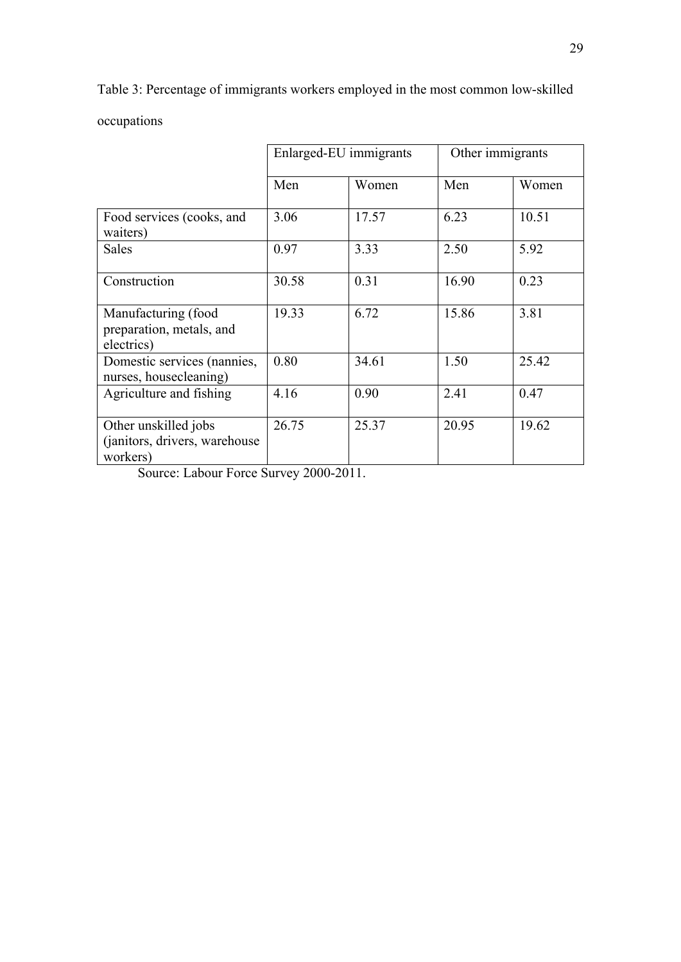Table 3: Percentage of immigrants workers employed in the most common low-skilled

occupations

|                                                                   | Enlarged-EU immigrants |       | Other immigrants |       |
|-------------------------------------------------------------------|------------------------|-------|------------------|-------|
|                                                                   | Men                    | Women | Men              | Women |
| Food services (cooks, and<br>waiters)                             | 3.06                   | 17.57 | 6.23             | 10.51 |
| Sales                                                             | 0.97                   | 3.33  | 2.50             | 5.92  |
| Construction                                                      | 30.58                  | 0.31  | 16.90            | 0.23  |
| Manufacturing (food<br>preparation, metals, and<br>electrics)     | 19.33                  | 6.72  | 15.86            | 3.81  |
| Domestic services (nannies,<br>nurses, housecleaning)             | 0.80                   | 34.61 | 1.50             | 25.42 |
| Agriculture and fishing                                           | 4.16                   | 0.90  | 2.41             | 0.47  |
| Other unskilled jobs<br>(janitors, drivers, warehouse<br>workers) | 26.75                  | 25.37 | 20.95            | 19.62 |

Source: Labour Force Survey 2000-2011.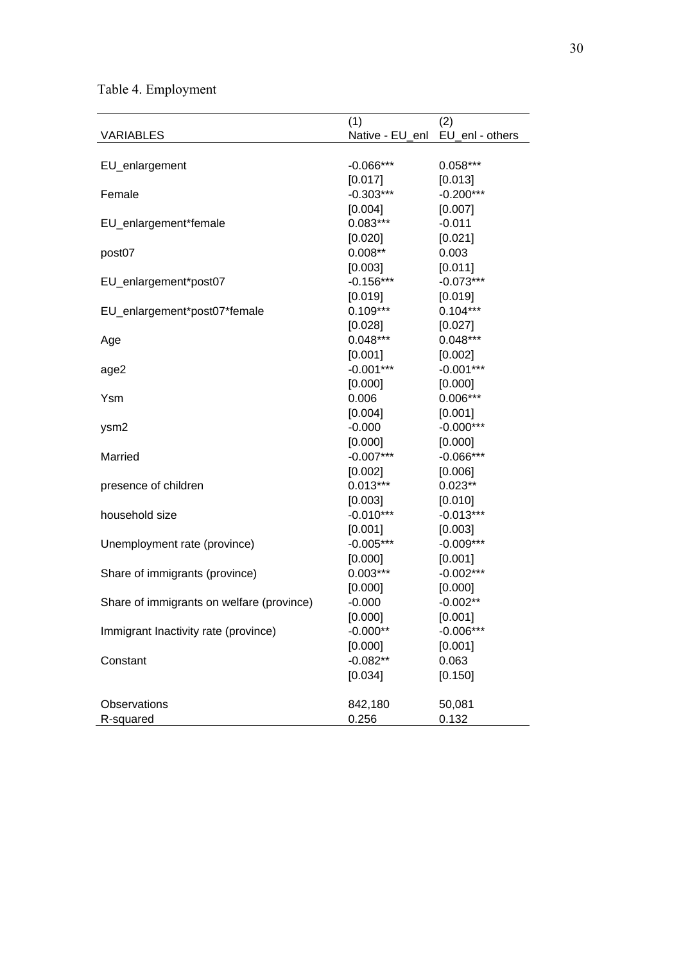Table 4. Employment

|                                           | (1)                             | (2)         |
|-------------------------------------------|---------------------------------|-------------|
| <b>VARIABLES</b>                          | Native - EU_enl EU_enl - others |             |
|                                           |                                 |             |
| EU_enlargement                            | $-0.066***$                     | $0.058***$  |
|                                           | [0.017]                         | [0.013]     |
| Female                                    | $-0.303***$                     | $-0.200***$ |
|                                           | [0.004]                         | [0.007]     |
| EU_enlargement*female                     | $0.083***$                      | $-0.011$    |
|                                           | [0.020]                         | [0.021]     |
| post07                                    | $0.008***$                      | 0.003       |
|                                           | [0.003]                         | [0.011]     |
| EU_enlargement*post07                     | $-0.156***$                     | $-0.073***$ |
|                                           | [0.019]                         | [0.019]     |
| EU_enlargement*post07*female              | $0.109***$                      | $0.104***$  |
|                                           | [0.028]                         | [0.027]     |
| Age                                       | $0.048***$                      | $0.048***$  |
|                                           | [0.001]                         | [0.002]     |
| age2                                      | $-0.001***$                     | $-0.001***$ |
|                                           | [0.000]                         | [0.000]     |
| Ysm                                       | 0.006                           | $0.006***$  |
|                                           | [0.004]                         | [0.001]     |
| ysm2                                      | $-0.000$                        | $-0.000***$ |
|                                           | [0.000]                         | [0.000]     |
| Married                                   | $-0.007***$                     | $-0.066***$ |
|                                           | [0.002]                         | [0.006]     |
| presence of children                      | $0.013***$                      | $0.023**$   |
|                                           | [0.003]                         | [0.010]     |
| household size                            | $-0.010***$                     | $-0.013***$ |
|                                           | [0.001]                         | [0.003]     |
| Unemployment rate (province)              | $-0.005***$                     | $-0.009***$ |
|                                           | [0.000]                         | [0.001]     |
| Share of immigrants (province)            | $0.003***$                      | $-0.002***$ |
|                                           | [0.000]                         | [0.000]     |
| Share of immigrants on welfare (province) | $-0.000$                        | $-0.002**$  |
|                                           | [0.000]                         | [0.001]     |
| Immigrant Inactivity rate (province)      | $-0.000**$                      | $-0.006***$ |
|                                           | [0.000]                         | [0.001]     |
| Constant                                  | $-0.082**$                      | 0.063       |
|                                           | [0.034]                         | [0.150]     |
|                                           |                                 |             |
| Observations                              | 842,180                         | 50,081      |
| R-squared                                 | 0.256                           | 0.132       |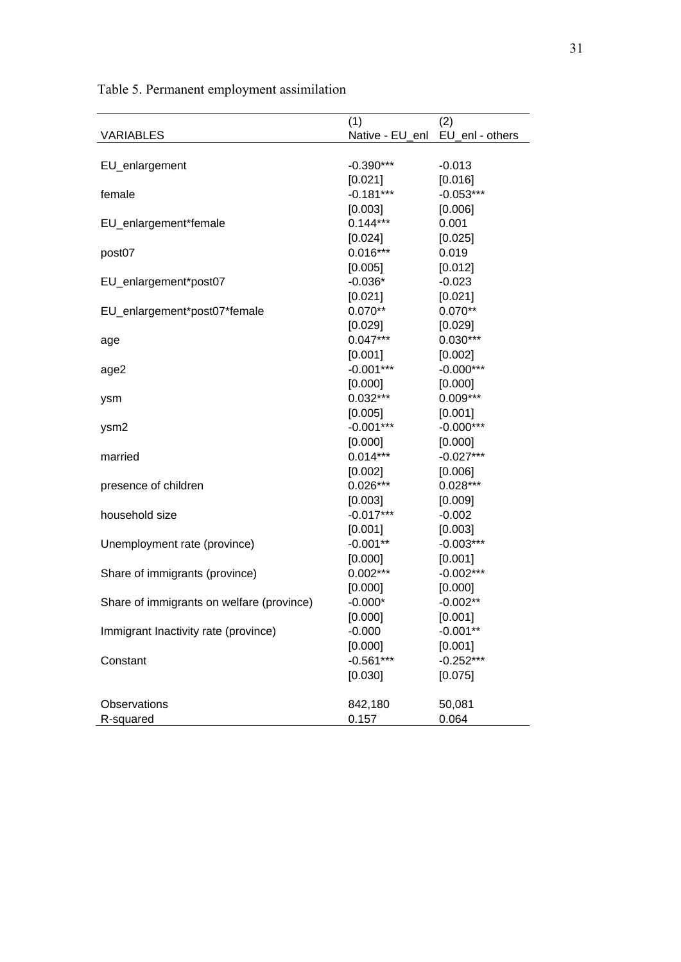|                                           | (1)                             | (2)         |
|-------------------------------------------|---------------------------------|-------------|
| <b>VARIABLES</b>                          | Native - EU_enl EU_enl - others |             |
|                                           |                                 |             |
| EU_enlargement                            | -0.390***                       | $-0.013$    |
|                                           | [0.021]                         | [0.016]     |
| female                                    | $-0.181***$                     | $-0.053***$ |
|                                           | [0.003]                         | [0.006]     |
| EU_enlargement*female                     | $0.144***$                      | 0.001       |
|                                           | [0.024]                         | [0.025]     |
| post07                                    | $0.016***$                      | 0.019       |
|                                           | [0.005]                         | [0.012]     |
| EU_enlargement*post07                     | $-0.036*$                       | $-0.023$    |
|                                           | [0.021]                         | [0.021]     |
| EU_enlargement*post07*female              | $0.070**$                       | $0.070**$   |
|                                           | [0.029]                         | [0.029]     |
| age                                       | $0.047***$                      | $0.030***$  |
|                                           | [0.001]                         | [0.002]     |
| age2                                      | $-0.001***$                     | $-0.000***$ |
|                                           | [0.000]                         | [0.000]     |
| ysm                                       | $0.032***$                      | $0.009***$  |
|                                           | [0.005]                         | [0.001]     |
| ysm2                                      | $-0.001***$                     | $-0.000***$ |
|                                           | [0.000]                         | [0.000]     |
| married                                   | $0.014***$                      | $-0.027***$ |
|                                           | [0.002]                         | [0.006]     |
| presence of children                      | $0.026***$                      | $0.028***$  |
|                                           | [0.003]                         | [0.009]     |
| household size                            | $-0.017***$                     | $-0.002$    |
|                                           | [0.001]                         | [0.003]     |
| Unemployment rate (province)              | $-0.001**$                      | $-0.003***$ |
|                                           | [0.000]                         | [0.001]     |
| Share of immigrants (province)            | $0.002***$                      | $-0.002***$ |
|                                           | [0.000]                         | [0.000]     |
| Share of immigrants on welfare (province) | $-0.000*$                       | $-0.002**$  |
|                                           | [0.000]                         | [0.001]     |
| Immigrant Inactivity rate (province)      | $-0.000$                        | $-0.001**$  |
|                                           | [0.000]                         | [0.001]     |
| Constant                                  | $-0.561***$                     | $-0.252***$ |
|                                           | [0.030]                         | [0.075]     |
|                                           |                                 |             |
| Observations                              | 842,180                         | 50,081      |
| R-squared                                 | 0.157                           | 0.064       |

Table 5. Permanent employment assimilation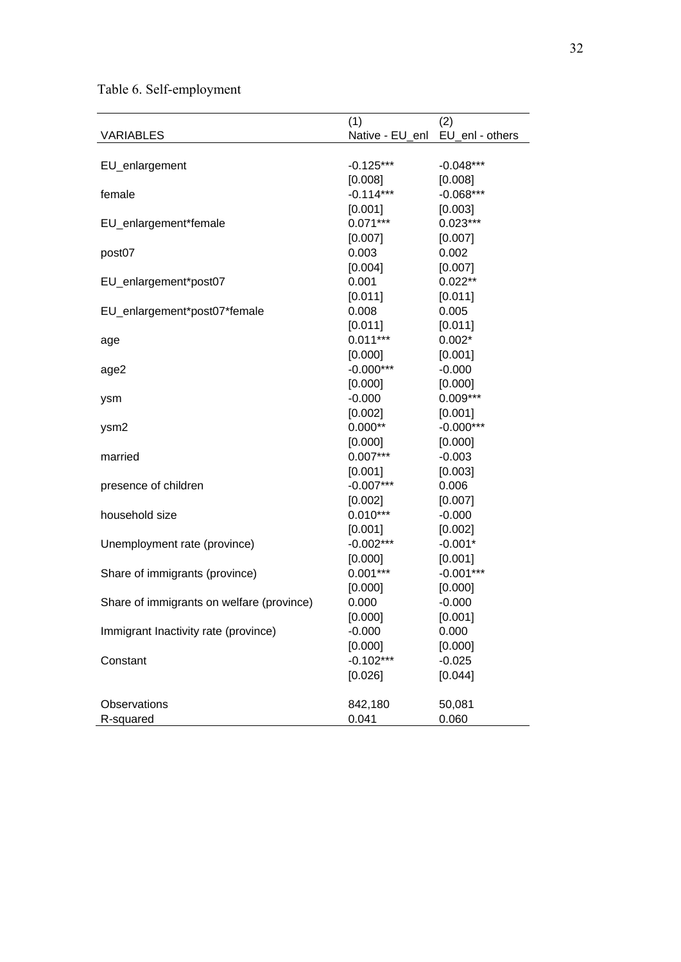Table 6. Self-employment

|                                           | (1)                             | (2)         |
|-------------------------------------------|---------------------------------|-------------|
| <b>VARIABLES</b>                          | Native - EU_enl EU_enl - others |             |
|                                           |                                 |             |
| EU_enlargement                            | $-0.125***$                     | $-0.048***$ |
|                                           | [0.008]                         | [0.008]     |
| female                                    | $-0.114***$                     | $-0.068***$ |
|                                           | [0.001]                         | [0.003]     |
| EU_enlargement*female                     | $0.071***$                      | $0.023***$  |
|                                           | [0.007]                         | [0.007]     |
| post07                                    | 0.003                           | 0.002       |
|                                           | [0.004]                         | [0.007]     |
| EU_enlargement*post07                     | 0.001                           | $0.022**$   |
|                                           | [0.011]                         | [0.011]     |
| EU_enlargement*post07*female              | 0.008                           | 0.005       |
|                                           | [0.011]                         | [0.011]     |
| age                                       | $0.011***$                      | $0.002*$    |
|                                           | [0.000]                         | [0.001]     |
| age2                                      | $-0.000***$                     | $-0.000$    |
|                                           | [0.000]                         | [0.000]     |
| ysm                                       | $-0.000$                        | $0.009***$  |
|                                           | [0.002]                         | [0.001]     |
| ysm2                                      | $0.000**$                       | $-0.000***$ |
|                                           | [0.000]                         | [0.000]     |
| married                                   | $0.007***$                      | $-0.003$    |
|                                           | [0.001]                         | [0.003]     |
| presence of children                      | $-0.007***$                     | 0.006       |
|                                           | [0.002]                         | [0.007]     |
| household size                            | $0.010***$                      | $-0.000$    |
|                                           | [0.001]                         | [0.002]     |
| Unemployment rate (province)              | $-0.002***$                     | $-0.001*$   |
|                                           | [0.000]                         | [0.001]     |
| Share of immigrants (province)            | $0.001***$                      | $-0.001***$ |
|                                           | [0.000]                         | [0.000]     |
| Share of immigrants on welfare (province) | 0.000                           | $-0.000$    |
|                                           | [0.000]                         | [0.001]     |
| Immigrant Inactivity rate (province)      | $-0.000$                        | 0.000       |
|                                           | [0.000]                         | [0.000]     |
| Constant                                  | $-0.102***$                     | $-0.025$    |
|                                           | [0.026]                         | [0.044]     |
|                                           |                                 |             |
| Observations                              | 842,180                         | 50,081      |
| R-squared                                 | 0.041                           | 0.060       |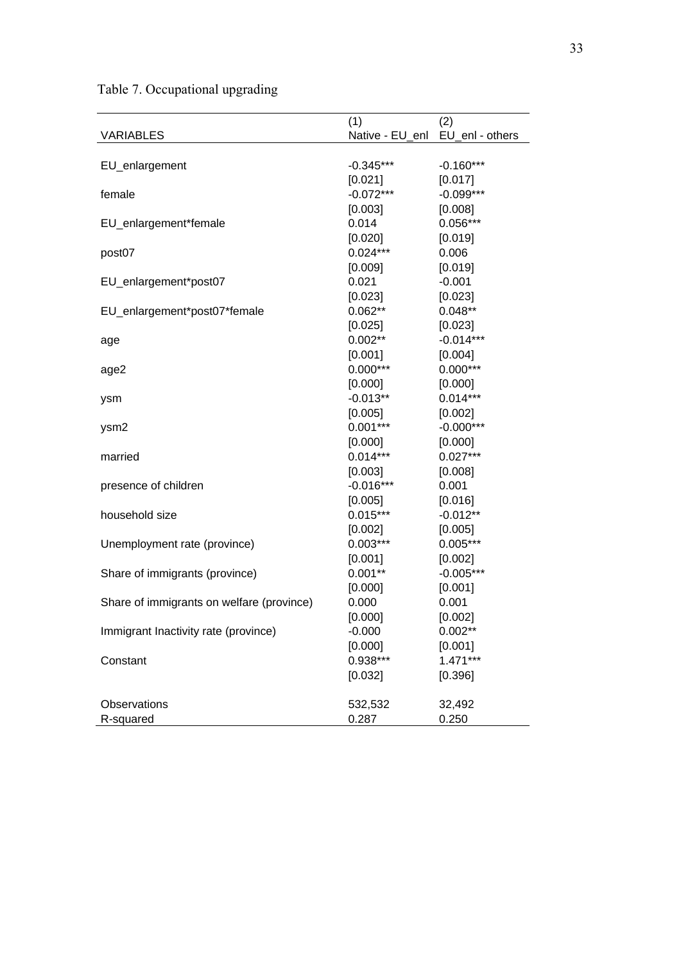Table 7. Occupational upgrading

|                                           | (1)                             | (2)         |
|-------------------------------------------|---------------------------------|-------------|
| <b>VARIABLES</b>                          | Native - EU_enl EU_enl - others |             |
|                                           |                                 |             |
| EU_enlargement                            | -0.345***                       | $-0.160***$ |
|                                           | [0.021]                         | [0.017]     |
| female                                    | $-0.072***$                     | $-0.099***$ |
|                                           | [0.003]                         | [0.008]     |
| EU_enlargement*female                     | 0.014                           | $0.056***$  |
|                                           | [0.020]                         | [0.019]     |
| post07                                    | $0.024***$                      | 0.006       |
|                                           | [0.009]                         | [0.019]     |
| EU_enlargement*post07                     | 0.021                           | $-0.001$    |
|                                           | [0.023]                         | [0.023]     |
| EU_enlargement*post07*female              | $0.062**$                       | $0.048**$   |
|                                           | [0.025]                         | [0.023]     |
| age                                       | $0.002***$                      | $-0.014***$ |
|                                           | [0.001]                         | [0.004]     |
| age2                                      | $0.000***$                      | $0.000***$  |
|                                           | [0.000]                         | [0.000]     |
| ysm                                       | $-0.013**$                      | $0.014***$  |
|                                           | [0.005]                         | [0.002]     |
| ysm2                                      | $0.001***$                      | $-0.000***$ |
|                                           | [0.000]                         | [0.000]     |
| married                                   | $0.014***$                      | $0.027***$  |
|                                           | [0.003]                         | [0.008]     |
| presence of children                      | $-0.016***$                     | 0.001       |
|                                           | [0.005]                         | [0.016]     |
| household size                            | $0.015***$                      | $-0.012**$  |
|                                           | [0.002]                         | [0.005]     |
| Unemployment rate (province)              | $0.003***$                      | $0.005***$  |
|                                           | [0.001]                         | [0.002]     |
| Share of immigrants (province)            | $0.001**$                       | $-0.005***$ |
|                                           | [0.000]                         | [0.001]     |
| Share of immigrants on welfare (province) | 0.000                           | 0.001       |
|                                           | [0.000]                         | [0.002]     |
| Immigrant Inactivity rate (province)      | $-0.000$                        | $0.002**$   |
|                                           | [0.000]                         | [0.001]     |
| Constant                                  | 0.938***                        | $1.471***$  |
|                                           | [0.032]                         | [0.396]     |
|                                           |                                 |             |
| Observations                              | 532,532                         | 32,492      |
| R-squared                                 | 0.287                           | 0.250       |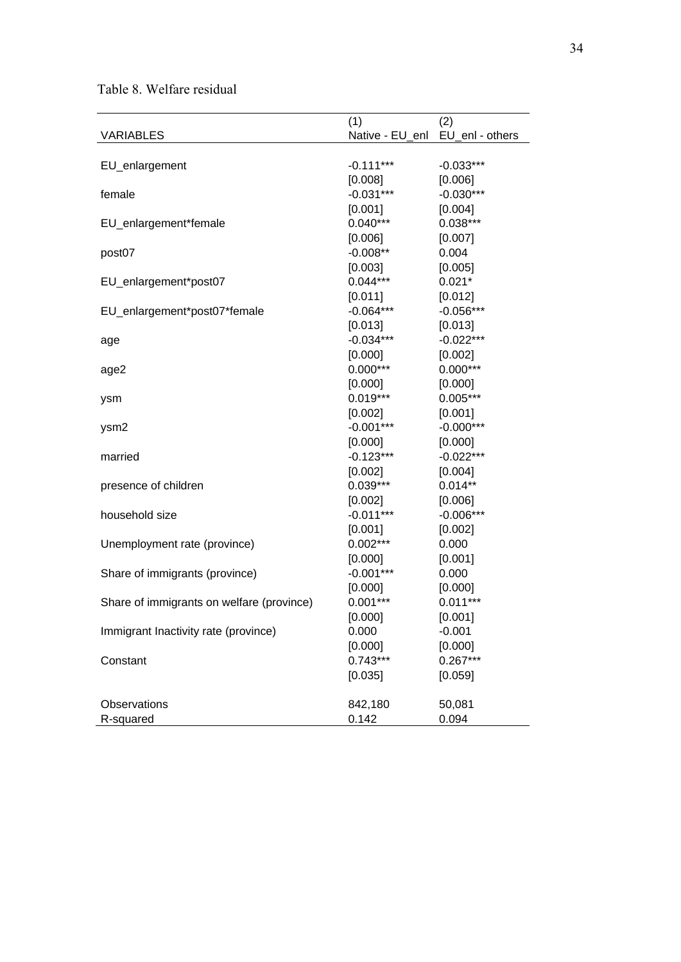Table 8. Welfare residual

|                                           | (1)                             | (2)         |
|-------------------------------------------|---------------------------------|-------------|
| <b>VARIABLES</b>                          | Native - EU_enl EU_enl - others |             |
|                                           |                                 |             |
| EU_enlargement                            | $-0.111***$                     | $-0.033***$ |
|                                           | [0.008]                         | [0.006]     |
| female                                    | $-0.031***$                     | $-0.030***$ |
|                                           | [0.001]                         | [0.004]     |
| EU_enlargement*female                     | $0.040***$                      | $0.038***$  |
|                                           | [0.006]                         | [0.007]     |
| post07                                    | $-0.008***$                     | 0.004       |
|                                           | [0.003]                         | [0.005]     |
| EU_enlargement*post07                     | $0.044***$                      | $0.021*$    |
|                                           | [0.011]                         | [0.012]     |
| EU_enlargement*post07*female              | $-0.064***$                     | $-0.056***$ |
|                                           | [0.013]                         | [0.013]     |
| age                                       | $-0.034***$                     | $-0.022***$ |
|                                           | [0.000]                         | [0.002]     |
| age2                                      | $0.000***$                      | $0.000***$  |
|                                           | [0.000]                         | [0.000]     |
| ysm                                       | $0.019***$                      | $0.005***$  |
|                                           | [0.002]                         | [0.001]     |
| ysm2                                      | $-0.001***$                     | $-0.000***$ |
|                                           | [0.000]                         | [0.000]     |
| married                                   | $-0.123***$                     | $-0.022***$ |
|                                           | [0.002]                         | [0.004]     |
| presence of children                      | $0.039***$                      | $0.014**$   |
|                                           | [0.002]                         | [0.006]     |
| household size                            | $-0.011***$                     | $-0.006***$ |
|                                           | [0.001]                         | [0.002]     |
| Unemployment rate (province)              | $0.002***$                      | 0.000       |
|                                           | [0.000]                         | [0.001]     |
| Share of immigrants (province)            | $-0.001***$                     | 0.000       |
|                                           | [0.000]                         | [0.000]     |
| Share of immigrants on welfare (province) | $0.001***$                      | $0.011***$  |
|                                           | [0.000]                         | [0.001]     |
| Immigrant Inactivity rate (province)      | 0.000                           | $-0.001$    |
|                                           | [0.000]                         | [0.000]     |
| Constant                                  | $0.743***$                      | $0.267***$  |
|                                           | [0.035]                         | [0.059]     |
|                                           |                                 |             |
| Observations                              | 842,180                         | 50,081      |
| R-squared                                 | 0.142                           | 0.094       |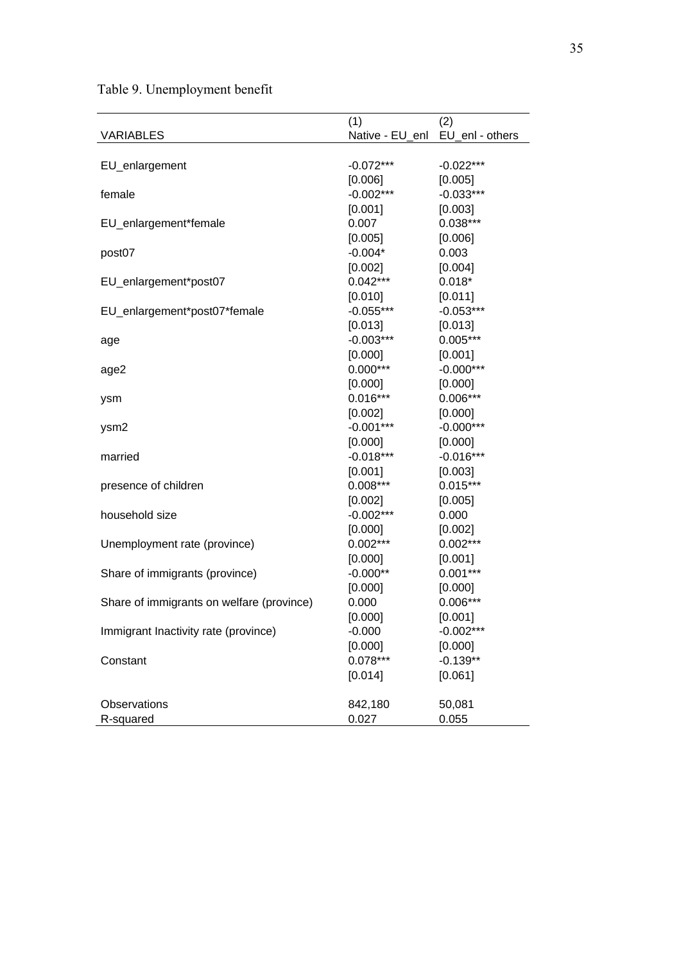Table 9. Unemployment benefit

|                                           | (1)                             | (2)         |
|-------------------------------------------|---------------------------------|-------------|
| <b>VARIABLES</b>                          | Native - EU_enl EU_enl - others |             |
|                                           |                                 |             |
| EU_enlargement                            | $-0.072***$                     | $-0.022***$ |
|                                           | [0.006]                         | [0.005]     |
| female                                    | $-0.002***$                     | $-0.033***$ |
|                                           | [0.001]                         | [0.003]     |
| EU_enlargement*female                     | 0.007                           | $0.038***$  |
|                                           | [0.005]                         | [0.006]     |
| post07                                    | $-0.004*$                       | 0.003       |
|                                           | [0.002]                         | [0.004]     |
| EU_enlargement*post07                     | $0.042***$                      | $0.018*$    |
|                                           | [0.010]                         | [0.011]     |
| EU_enlargement*post07*female              | $-0.055***$                     | $-0.053***$ |
|                                           | [0.013]                         | [0.013]     |
| age                                       | $-0.003***$                     | $0.005***$  |
|                                           | [0.000]                         | [0.001]     |
| age2                                      | $0.000***$                      | $-0.000***$ |
|                                           | [0.000]                         | [0.000]     |
| ysm                                       | $0.016***$                      | $0.006***$  |
|                                           | [0.002]                         | [0.000]     |
| ysm2                                      | $-0.001***$                     | $-0.000***$ |
|                                           | [0.000]                         | [0.000]     |
| married                                   | $-0.018***$                     | $-0.016***$ |
|                                           | [0.001]                         | [0.003]     |
| presence of children                      | $0.008***$                      | $0.015***$  |
|                                           | [0.002]                         | [0.005]     |
| household size                            | $-0.002***$                     | 0.000       |
|                                           | [0.000]                         | [0.002]     |
| Unemployment rate (province)              | $0.002***$                      | $0.002***$  |
|                                           | [0.000]                         | [0.001]     |
| Share of immigrants (province)            | $-0.000**$                      | $0.001***$  |
|                                           | [0.000]                         | [0.000]     |
| Share of immigrants on welfare (province) | 0.000                           | $0.006***$  |
|                                           | [0.000]                         | [0.001]     |
| Immigrant Inactivity rate (province)      | $-0.000$                        | $-0.002***$ |
|                                           | [0.000]                         | [0.000]     |
| Constant                                  | $0.078***$                      | $-0.139**$  |
|                                           | [0.014]                         | [0.061]     |
| Observations                              | 842,180                         | 50,081      |
| R-squared                                 | 0.027                           | 0.055       |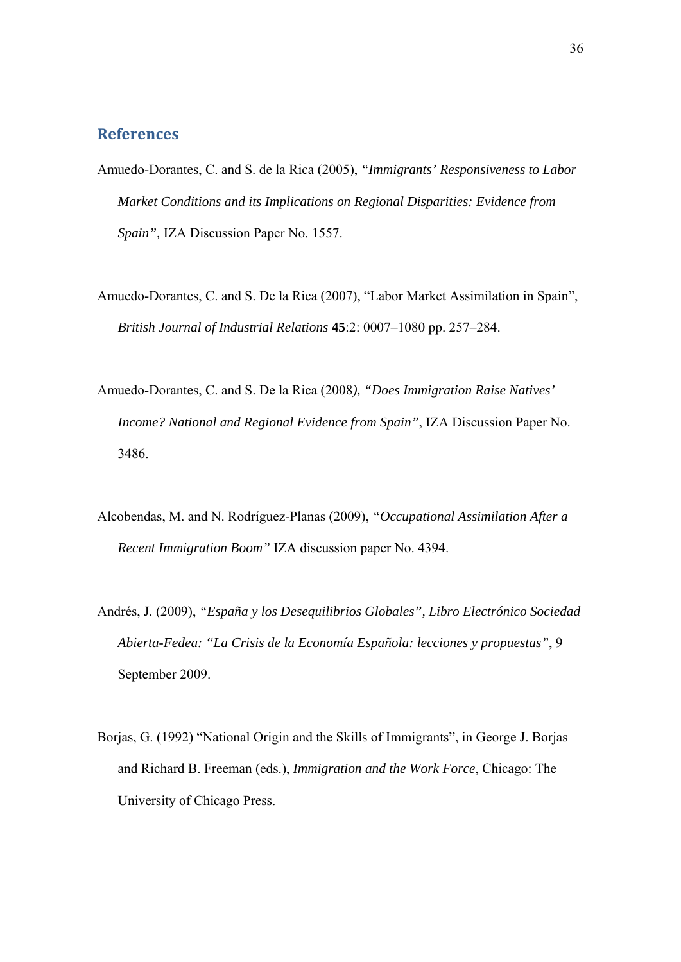## **References**

- Amuedo-Dorantes, C. and S. de la Rica (2005), *"Immigrants' Responsiveness to Labor Market Conditions and its Implications on Regional Disparities: Evidence from Spain",* IZA Discussion Paper No. 1557.
- Amuedo-Dorantes, C. and S. De la Rica (2007), "Labor Market Assimilation in Spain", *British Journal of Industrial Relations* **45**:2: 0007–1080 pp. 257–284.
- Amuedo-Dorantes, C. and S. De la Rica (2008*), "Does Immigration Raise Natives' Income? National and Regional Evidence from Spain"*, IZA Discussion Paper No. 3486.
- Alcobendas, M. and N. Rodríguez-Planas (2009), *"Occupational Assimilation After a Recent Immigration Boom"* IZA discussion paper No. 4394.
- Andrés, J. (2009), *"España y los Desequilibrios Globales", Libro Electrónico Sociedad Abierta-Fedea: "La Crisis de la Economía Española: lecciones y propuestas"*, 9 September 2009.
- Borjas, G. (1992) "National Origin and the Skills of Immigrants", in George J. Borjas and Richard B. Freeman (eds.), *Immigration and the Work Force*, Chicago: The University of Chicago Press.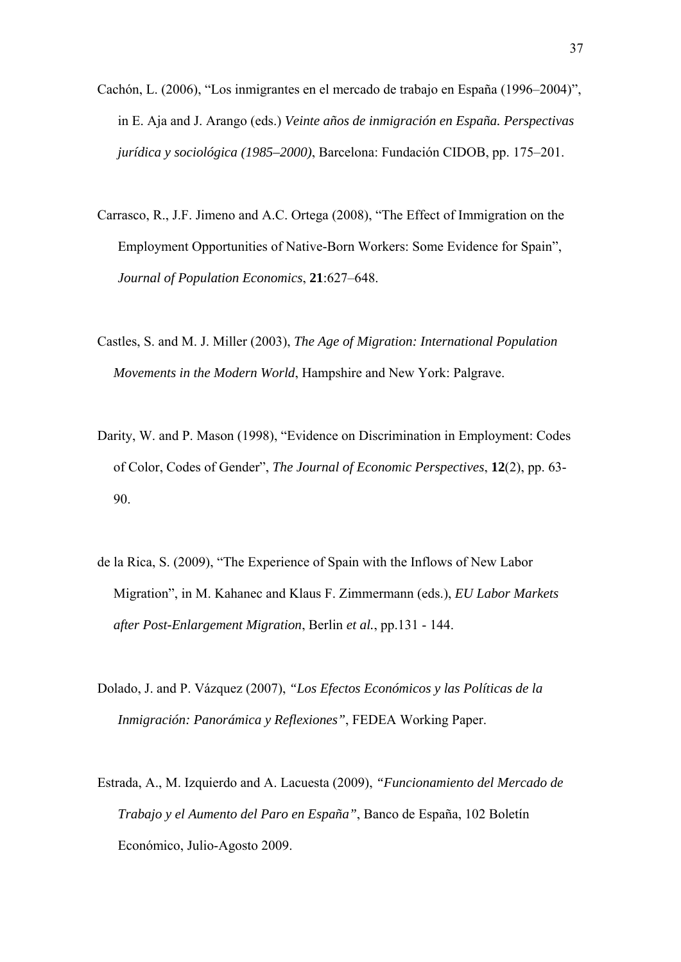- Cachón, L. (2006), "Los inmigrantes en el mercado de trabajo en España (1996–2004)", in E. Aja and J. Arango (eds.) *Veinte años de inmigración en España. Perspectivas jurídica y sociológica (1985–2000)*, Barcelona: Fundación CIDOB, pp. 175–201.
- Carrasco, R., J.F. Jimeno and A.C. Ortega (2008), "The Effect of Immigration on the Employment Opportunities of Native-Born Workers: Some Evidence for Spain", *Journal of Population Economics*, **21**:627–648.
- Castles, S. and M. J. Miller (2003), *The Age of Migration: International Population Movements in the Modern World*, Hampshire and New York: Palgrave.
- Darity, W. and P. Mason (1998), "Evidence on Discrimination in Employment: Codes of Color, Codes of Gender", *The Journal of Economic Perspectives*, **12**(2), pp. 63- 90.
- de la Rica, S. (2009), "The Experience of Spain with the Inflows of New Labor Migration", in M. Kahanec and Klaus F. Zimmermann (eds.), *EU Labor Markets after Post-Enlargement Migration*, Berlin *et al.*, pp.131 - 144.
- Dolado, J. and P. Vázquez (2007), *"Los Efectos Económicos y las Políticas de la Inmigración: Panorámica y Reflexiones"*, FEDEA Working Paper.
- Estrada, A., M. Izquierdo and A. Lacuesta (2009), *"Funcionamiento del Mercado de Trabajo y el Aumento del Paro en España"*, Banco de España, 102 Boletín Económico, Julio-Agosto 2009.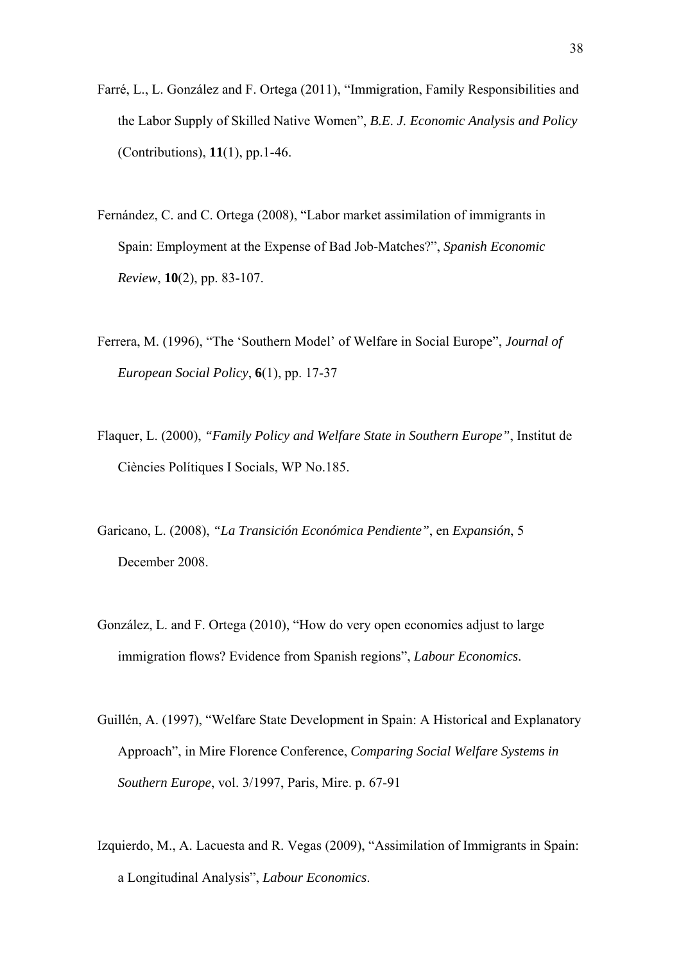- Farré, L., L. González and F. Ortega (2011), "Immigration, Family Responsibilities and the Labor Supply of Skilled Native Women", *B.E. J. Economic Analysis and Policy* (Contributions), **11**(1), pp.1-46.
- Fernández, C. and C. Ortega (2008), "Labor market assimilation of immigrants in Spain: Employment at the Expense of Bad Job-Matches?", *Spanish Economic Review*, **10**(2), pp. 83-107.
- Ferrera, M. (1996), "The 'Southern Model' of Welfare in Social Europe", *Journal of European Social Policy*, **6**(1), pp. 17-37
- Flaquer, L. (2000), *"Family Policy and Welfare State in Southern Europe"*, Institut de Ciències Polítiques I Socials, WP No.185.
- Garicano, L. (2008), *"La Transición Económica Pendiente"*, en *Expansión*, 5 December 2008.
- González, L. and F. Ortega (2010), "How do very open economies adjust to large immigration flows? Evidence from Spanish regions", *Labour Economics*.
- Guillén, A. (1997), "Welfare State Development in Spain: A Historical and Explanatory Approach", in Mire Florence Conference, *Comparing Social Welfare Systems in Southern Europe*, vol. 3/1997, Paris, Mire. p. 67-91
- Izquierdo, M., A. Lacuesta and R. Vegas (2009), "Assimilation of Immigrants in Spain: a Longitudinal Analysis", *Labour Economics*.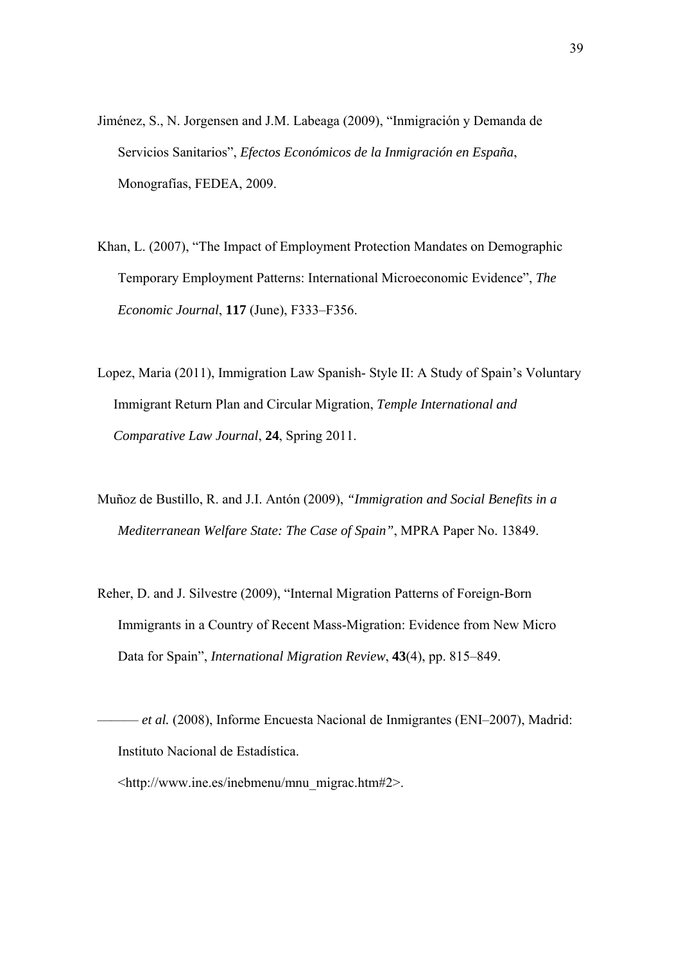- Jiménez, S., N. Jorgensen and J.M. Labeaga (2009), "Inmigración y Demanda de Servicios Sanitarios", *Efectos Económicos de la Inmigración en España*, Monografías, FEDEA, 2009.
- Khan, L. (2007), "The Impact of Employment Protection Mandates on Demographic Temporary Employment Patterns: International Microeconomic Evidence", *The Economic Journal*, **117** (June), F333–F356.
- Lopez, Maria (2011), Immigration Law Spanish- Style II: A Study of Spain's Voluntary Immigrant Return Plan and Circular Migration, *Temple International and Comparative Law Journal*, **24**, Spring 2011.
- Muñoz de Bustillo, R. and J.I. Antón (2009), *"Immigration and Social Benefits in a Mediterranean Welfare State: The Case of Spain"*, MPRA Paper No. 13849.
- Reher, D. and J. Silvestre (2009), "Internal Migration Patterns of Foreign-Born Immigrants in a Country of Recent Mass-Migration: Evidence from New Micro Data for Spain", *International Migration Review*, **43**(4), pp. 815–849.
- ——— *et al.* (2008), Informe Encuesta Nacional de Inmigrantes (ENI–2007), Madrid: Instituto Nacional de Estadística.
	- <http://www.ine.es/inebmenu/mnu\_migrac.htm#2>.